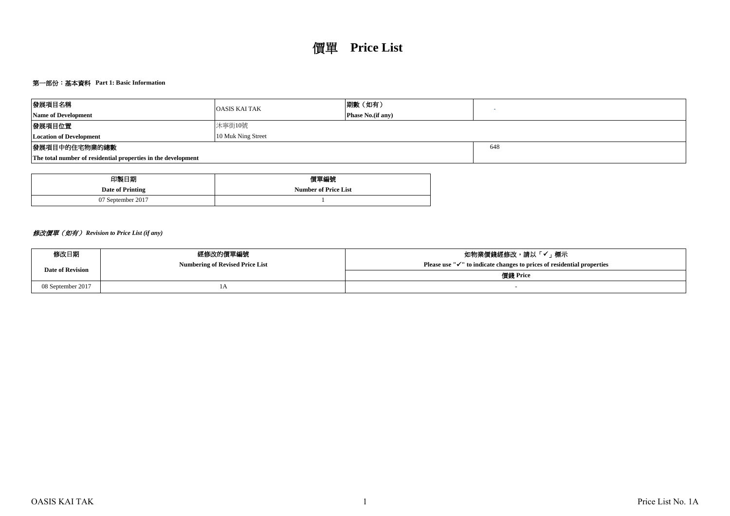# 第一部份:基本資料 **Part 1: Basic Information**

| 發展項目名稱                                                        | <b>OASIS KAI TAK</b> | 期數 (如有)                  |     |
|---------------------------------------------------------------|----------------------|--------------------------|-----|
| <b>Name of Development</b>                                    |                      | <b>Phase No.(if any)</b> |     |
| 發展項目位置                                                        | 沐寧街10號               |                          |     |
| <b>Location of Development</b>                                | 10 Muk Ning Street   |                          |     |
| 發展項目中的住宅物業的總數                                                 |                      |                          | 648 |
| The total number of residential properties in the development |                      |                          |     |

| 印製日期              | 價單編號                        |
|-------------------|-----------------------------|
| Date of Printing  | <b>Number of Price List</b> |
| 07 September 2017 |                             |

## 修改價單(如有) *Revision to Price List (if any)*

| 修改日期                    | 經修改的價單編號                               | 如物業價錢經修改,請以「✔」標示                                                                    |
|-------------------------|----------------------------------------|-------------------------------------------------------------------------------------|
| <b>Date of Revision</b> | <b>Numbering of Revised Price List</b> | Please use " $\checkmark$ " to indicate changes to prices of residential properties |
|                         |                                        | 價錢 Price                                                                            |
| 08 September 2017       | IΑ                                     |                                                                                     |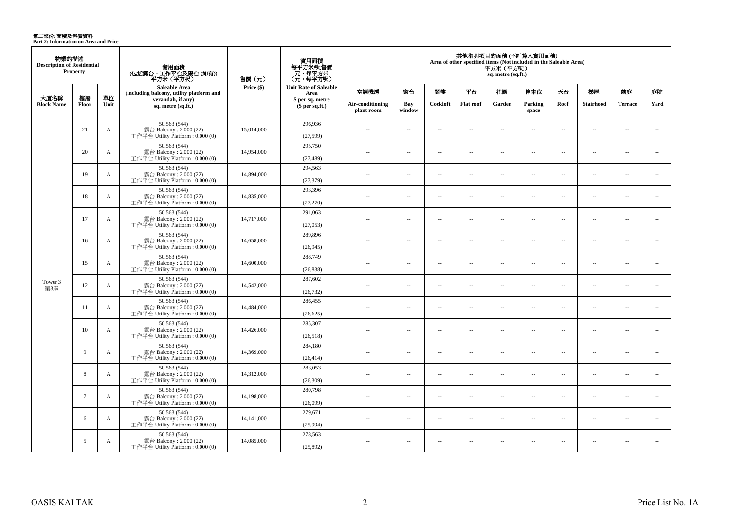**第二部份: 面積及售價資料**<br>Part 2: Information on Area and Price

| 物業的描述<br><b>Description of Residential</b> | Property        |              | 實用面積<br>(包括露台,工作平台及陽台(如有))<br>平方米 (平方呎)                                      | 售價 (元)     | 實用面積<br>每平方米/呎售價<br>- 元, 每平方米<br>(元, 每平方呎) |                                |                          |                          |                          | 平方米(平方呎)<br>sq. metre (sq.ft.) | 其他指明項目的面積(不計算入實用面積)<br>Area of other specified items (Not included in the Saleable Area) |                          |                          |                          |                          |
|--------------------------------------------|-----------------|--------------|------------------------------------------------------------------------------|------------|--------------------------------------------|--------------------------------|--------------------------|--------------------------|--------------------------|--------------------------------|------------------------------------------------------------------------------------------|--------------------------|--------------------------|--------------------------|--------------------------|
|                                            |                 |              | Saleable Area<br>(including balcony, utility platform and                    | Price (\$) | <b>Unit Rate of Saleable</b><br>Area       | 空調機房                           | 窗台                       | 閣樓                       | 平台                       | 花園                             | 停車位                                                                                      | 天台                       | 梯屋                       | 前庭                       | 庭院                       |
| 大廈名稱<br><b>Block Name</b>                  | 樓層<br>Floor     | 單位<br>Unit   | verandah, if any)<br>sq. metre (sq.ft.)                                      |            | \$ per sq. metre<br>$$per sq.f.$ )         | Air-conditioning<br>plant room | Bay<br>window            | Cockloft                 | <b>Flat roof</b>         | Garden                         | Parking<br>space                                                                         | Roof                     | <b>Stairhood</b>         | <b>Terrace</b>           | Yard                     |
|                                            | 21              | $\mathbf{A}$ | 50.563 (544)<br>露台 Balcony: 2.000 (22)<br>工作平台 Utility Platform : $0.000(0)$ | 15,014,000 | 296,936<br>(27,599)                        | $\overline{a}$                 | $\sim$                   | $\sim$                   | $\overline{a}$           | $\sim$ $\sim$                  | $\sim$                                                                                   | $\overline{\phantom{a}}$ | $\sim$                   | $\overline{a}$           | $\sim$                   |
|                                            | 20              | $\mathbf{A}$ | 50.563 (544)<br>露台 Balcony: 2.000 (22)<br>工作平台 Utility Platform : 0.000 (0)  | 14,954,000 | 295,750<br>(27, 489)                       | $\overline{a}$                 | $\overline{a}$           | $\sim$                   | $\sim$                   | $\overline{a}$                 | $\sim$                                                                                   | $\sim$                   | $\sim$                   | $\overline{a}$           | $\sim$                   |
|                                            | 19              | A            | 50.563 (544)<br>露台 Balcony: 2.000 (22)<br>工作平台 Utility Platform : 0.000 (0)  | 14,894,000 | 294,563<br>(27, 379)                       | $\overline{a}$                 | $\sim$                   | $\sim$                   | μ.                       | $\overline{\phantom{a}}$       | $\overline{\phantom{a}}$                                                                 | $\overline{\phantom{a}}$ | $\sim$                   | $\overline{\phantom{a}}$ | $\overline{\phantom{a}}$ |
|                                            | 18              | A            | 50.563 (544)<br>露台 Balcony: 2.000 (22)<br>工作平台 Utility Platform: 0.000 (0)   | 14,835,000 | 293,396<br>(27,270)                        | $\overline{a}$                 | $\overline{a}$           | $\sim$                   | $\sim$                   | $\sim$                         | $\sim$                                                                                   | $\overline{\phantom{a}}$ | $\sim$                   | $\overline{a}$           | $\sim$                   |
|                                            | 17              | $\mathbf{A}$ | 50.563 (544)<br>露台 Balcony: 2.000 (22)<br>工作平台 Utility Platform: 0.000 (0)   | 14,717,000 | 291,063<br>(27,053)                        | $\sim$                         | $\overline{a}$           | $\sim$                   | $\sim$                   | $\sim$                         | $\sim$                                                                                   | $\overline{\phantom{a}}$ | $\sim$                   | $\overline{a}$           | $\sim$                   |
|                                            | 16              | A            | 50.563 (544)<br>露台 Balcony: 2.000 (22)<br>工作平台 Utility Platform: 0.000 (0)   | 14,658,000 | 289,896<br>(26,945)                        | $\sim$                         | $\sim$                   | $\sim$                   | $\overline{\phantom{a}}$ | $\sim$                         | $\sim$                                                                                   | $\overline{\phantom{a}}$ | $\overline{\phantom{a}}$ | $\overline{a}$           | $\overline{\phantom{a}}$ |
|                                            | 15              | $\mathbf{A}$ | 50.563 (544)<br>露台 Balcony: 2.000 (22)<br>工作平台 Utility Platform: 0.000 (0)   | 14,600,000 | 288,749<br>(26, 838)                       | $\sim$                         | $\sim$                   | $\sim$                   | $\sim$                   | $\sim$                         | $\sim$                                                                                   | $\sim$                   | $\sim$                   | $\overline{a}$           | $\sim$                   |
| Tower 3<br>第3座                             | 12              | A            | 50.563 (544)<br>露台 Balcony: 2.000 (22)<br>工作平台 Utility Platform : 0.000 (0)  | 14,542,000 | 287,602<br>(26, 732)                       | $\overline{a}$                 | $\overline{\phantom{a}}$ | $\sim$                   | $\sim$                   | $\overline{a}$                 | $\sim$                                                                                   | $\overline{\phantom{a}}$ | $\sim$                   | $\overline{a}$           | $\overline{a}$           |
|                                            | 11              | $\mathbf{A}$ | 50.563 (544)<br>露台 Balcony: 2.000 (22)<br>工作平台 Utility Platform: 0.000 (0)   | 14,484,000 | 286,455<br>(26, 625)                       | $\overline{a}$                 | $\overline{\phantom{a}}$ | $\sim$                   | $\overline{a}$           | $\overline{\phantom{a}}$       | $\overline{\phantom{a}}$                                                                 | $\overline{\phantom{a}}$ | $\sim$                   | $\overline{\phantom{a}}$ | $\overline{\phantom{a}}$ |
|                                            | 10              | $\mathbf{A}$ | 50.563 (544)<br>露台 Balcony: 2.000 (22)<br>工作平台 Utility Platform : $0.000(0)$ | 14,426,000 | 285,307<br>(26,518)                        | $\overline{a}$                 | $\overline{\phantom{a}}$ | $\sim$                   | μ.                       | $\overline{\phantom{a}}$       | $\sim$                                                                                   | $\overline{\phantom{a}}$ | ÷.                       | $\sim$                   | $\sim$                   |
|                                            | 9               | $\mathbf{A}$ | 50.563 (544)<br>露台 Balcony: 2.000 (22)<br>工作平台 Utility Platform : 0.000 (0)  | 14,369,000 | 284,180<br>(26, 414)                       | $\overline{\phantom{a}}$       | $\overline{\phantom{a}}$ | $\overline{\phantom{a}}$ | $\overline{\phantom{a}}$ | $\overline{\phantom{a}}$       | $\overline{\phantom{a}}$                                                                 | $\overline{\phantom{a}}$ | $\overline{\phantom{a}}$ | $\overline{\phantom{a}}$ | $\overline{\phantom{a}}$ |
|                                            | 8               | A            | 50.563 (544)<br>露台 Balcony: 2.000 (22)<br>工作平台 Utility Platform: 0.000 (0)   | 14,312,000 | 283,053<br>(26,309)                        | $\sim$                         | $\sim$                   | $\sim$                   | $\overline{a}$           | $\sim$                         | $\sim$                                                                                   | $\overline{\phantom{a}}$ | $\sim$                   | $\overline{\phantom{a}}$ | $\overline{\phantom{a}}$ |
|                                            | $7\overline{ }$ | $\mathbf{A}$ | 50.563 (544)<br>露台 Balcony: 2.000 (22)<br>工作平台 Utility Platform : 0.000 (0)  | 14,198,000 | 280,798<br>(26,099)                        | $\overline{a}$                 | $\sim$                   | $\sim$                   | $\sim$                   | $\overline{a}$                 | $\sim$                                                                                   | $\overline{\phantom{a}}$ | $\sim$                   | $\sim$                   | $\sim$                   |
|                                            | 6               | A            | 50.563 (544)<br>露台 Balcony: 2.000 (22)<br>工作平台 Utility Platform: 0.000 (0)   | 14,141,000 | 279,671<br>(25,994)                        | $\overline{a}$                 | $\overline{\phantom{a}}$ | $\sim$                   | $\overline{\phantom{a}}$ | $\overline{\phantom{a}}$       | $\sim$                                                                                   | $\overline{\phantom{a}}$ | $\sim$                   | $\overline{a}$           | $\overline{\phantom{a}}$ |
|                                            | 5               | $\mathbf{A}$ | 50.563 (544)<br>露台 Balcony: 2.000 (22)<br>工作平台 Utility Platform : 0.000 (0)  | 14,085,000 | 278,563<br>(25,892)                        | $\overline{a}$                 | $\sim$                   | $\sim$                   | $\overline{\phantom{a}}$ | $\overline{a}$                 | $\sim$                                                                                   | $\overline{\phantom{a}}$ | $\sim$                   | $\overline{\phantom{a}}$ | $\overline{\phantom{a}}$ |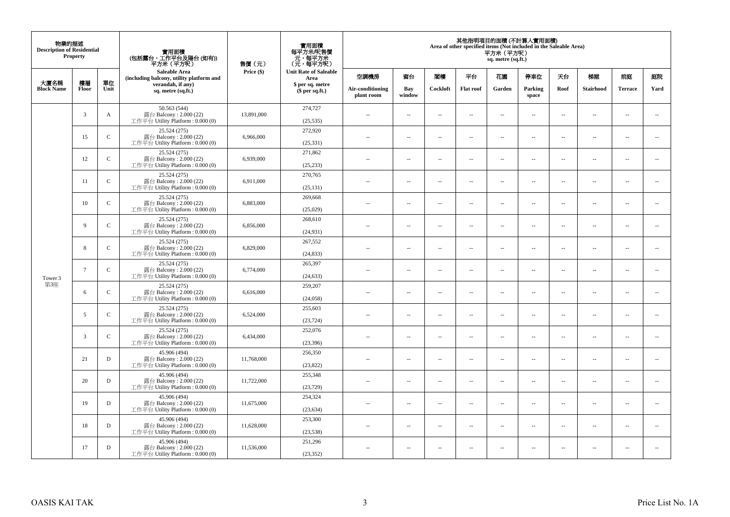| 物業的描述<br><b>Description of Residential</b> | Property        |               | 實用面積<br>(包括露台,工作平台及陽台(如有))<br>平方米 (平方呎)                                      | 售價(元)      | 實用面積<br>每平方米/呎售價<br>元,每平方米<br>(元,每平方呎) |                                |                          |                          |                          | 平方米 (平方呎)<br>sq. metre (sq.ft.) | 其他指明項目的面積 (不計算入實用面積)<br>Area of other specified items (Not included in the Saleable Area) |                          |                          |                          |                          |
|--------------------------------------------|-----------------|---------------|------------------------------------------------------------------------------|------------|----------------------------------------|--------------------------------|--------------------------|--------------------------|--------------------------|---------------------------------|-------------------------------------------------------------------------------------------|--------------------------|--------------------------|--------------------------|--------------------------|
|                                            | 樓層              | 單位            | Saleable Area<br>(including balcony, utility platform and                    | Price (\$) | <b>Unit Rate of Saleable</b><br>Area   | 空調機房                           | 窗台                       | 閣樓                       | 平台                       | 花園                              | 停車位                                                                                       | 夭台                       | 梯屋                       | 前庭                       | 庭院                       |
| 大廈名稱<br><b>Block Name</b>                  | Floor           | Unit          | verandah, if any)<br>sq. metre (sq.ft.)                                      |            | \$ per sq. metre<br>$$$ per sq.ft.)    | Air-conditioning<br>plant room | Bay<br>window            | Cockloft                 | <b>Flat roof</b>         | Garden                          | Parking<br>space                                                                          | Roof                     | <b>Stairhood</b>         | <b>Terrace</b>           | Yard                     |
|                                            | 3               | A             | 50.563 (544)<br>露台 Balcony: 2.000 (22)<br>工作平台 Utility Platform : $0.000(0)$ | 13,891,000 | 274,727<br>(25, 535)                   | $\sim$                         | $\sim$                   | $\sim$                   | $\ddot{\phantom{a}}$     | μ.                              | $\sim$                                                                                    | $\overline{\phantom{a}}$ | $\overline{\phantom{a}}$ | $\bar{a}$                | $\overline{\phantom{a}}$ |
|                                            | 15              | $\mathbf C$   | 25.524 (275)<br>露台 Balcony: 2.000 (22)<br>工作平台 Utility Platform : $0.000(0)$ | 6,966,000  | 272,920<br>(25, 331)                   | $\sim$                         | $\sim$                   | $\sim$                   | $\sim$                   | $\sim$                          | $\sim$                                                                                    | $\sim$                   | $\sim$                   | $\sim$                   | $\sim$                   |
|                                            | 12              | $\mathsf C$   | 25.524 (275)<br>露台 Balcony: 2.000 (22)<br>工作平台 Utility Platform : $0.000(0)$ | 6,939,000  | 271,862<br>(25, 233)                   | $\sim$                         | $\overline{\phantom{a}}$ | $\sim$                   | $\overline{\phantom{a}}$ | $\overline{\phantom{a}}$        | $\sim$                                                                                    | $\overline{\phantom{a}}$ | $\overline{\phantom{a}}$ | $\sim$                   | $\overline{\phantom{a}}$ |
|                                            | 11              | $\mathbf{C}$  | 25.524 (275)<br>露台 Balcony: 2.000 (22)<br>工作平台 Utility Platform: 0.000 (0)   | 6,911,000  | 270,765<br>(25, 131)                   | $\sim$                         | $\overline{a}$           | $\sim$                   | $\sim$                   | $\sim$                          | $\sim$                                                                                    | $\sim$                   | $\sim$                   | $\sim$                   | $\sim$                   |
|                                            | 10              | $\mathbf C$   | 25.524 (275)<br>露台 Balcony: 2.000 (22)<br>工作平台 Utility Platform: 0.000 (0)   | 6,883,000  | 269,668<br>(25,029)                    | $\overline{\phantom{a}}$       | $\overline{\phantom{a}}$ | $\overline{\phantom{a}}$ | $\ddotsc$                | --                              | $\ddotsc$                                                                                 | $\sim$                   | $\cdots$                 | $\ddotsc$                | $\overline{\phantom{a}}$ |
|                                            | 9               | $\mathsf{C}$  | 25.524 (275)<br>露台 Balcony: 2.000 (22)<br>工作平台 Utility Platform : $0.000(0)$ | 6,856,000  | 268,610<br>(24, 931)                   | $\sim$                         | $\sim$                   | $\sim$                   | $\overline{\phantom{a}}$ | $\sim$                          | $\sim$                                                                                    | $\sim$                   | $\overline{\phantom{a}}$ | $\overline{\phantom{a}}$ | $\sim$                   |
|                                            | 8               | $\mathbf{C}$  | 25.524 (275)<br>露台 Balcony: 2.000 (22)<br>工作平台 Utility Platform: 0.000 (0)   | 6,829,000  | 267,552<br>(24, 833)                   | $\sim$                         | $\sim$                   | $\sim$                   | $\sim$                   | μ.                              | $\sim$                                                                                    | $\overline{\phantom{a}}$ | $\overline{\phantom{a}}$ | $\bar{a}$                | $\overline{\phantom{a}}$ |
| Tower 3                                    | $7\overline{ }$ | $\mathbf C$   | 25.524 (275)<br>露台 Balcony: 2.000 (22)<br>工作平台 Utility Platform: 0.000 (0)   | 6,774,000  | 265,397<br>(24, 633)                   | $\sim$ $\sim$                  | $\sim$                   | $\sim$                   | $\sim$                   | $\sim$                          | $\sim$                                                                                    | $\sim$                   | $\sim$                   | $\sim$                   | $\bar{ }$                |
| 第3座                                        | 6               | $\mathbf{C}$  | 25.524 (275)<br>露台 Balcony: 2.000 (22)<br>工作平台 Utility Platform: 0.000 (0)   | 6,616,000  | 259,207<br>(24,058)                    | $\sim$ $-$                     | $\sim$                   | $\sim$                   | $\sim$                   | μ.                              | $\sim$                                                                                    | $\sim$                   | $\overline{\phantom{a}}$ | $\bar{a}$                | $\sim$                   |
|                                            | 5               | $\mathbf{C}$  | 25.524 (275)<br>露台 Balcony: 2.000 (22)<br>工作平台 Utility Platform : $0.000(0)$ | 6,524,000  | 255,603<br>(23, 724)                   | $\sim$                         | $\overline{a}$           | $\sim$                   | $\sim$                   | $\sim$                          | $\sim$                                                                                    | $\sim$                   | $\overline{a}$           | $\sim$                   | $\sim$                   |
|                                            | 3               | $\mathcal{C}$ | 25.524 (275)<br>露台 Balcony: 2.000 (22)<br>工作平台 Utility Platform : $0.000(0)$ | 6,434,000  | 252,076<br>(23, 396)                   | $\sim$ $-$                     | $\overline{\phantom{a}}$ | $\overline{\phantom{a}}$ | $\overline{\phantom{a}}$ | --                              | $\overline{\phantom{a}}$                                                                  | $\overline{\phantom{a}}$ | $\overline{\phantom{a}}$ | $\overline{\phantom{a}}$ | $\overline{\phantom{a}}$ |
|                                            | 21              | D             | 45.906 (494)<br>露台 Balcony: 2.000 (22)<br>工作平台 Utility Platform : $0.000(0)$ | 11,768,000 | 256,350<br>(23,822)                    | $\sim$                         | $\sim$                   | $\sim$                   | $\sim$                   | μ.                              | $\sim$                                                                                    | $\sim$                   | $\overline{\phantom{a}}$ | $\sim$                   | $\sim$                   |
|                                            | 20              | D             | 45.906 (494)<br>露台 Balcony: 2.000 (22)<br>工作平台 Utility Platform : $0.000(0)$ | 11,722,000 | 255,348<br>(23, 729)                   | ÷.                             | $\sim$                   | $\sim$                   | $\sim$                   | μ.                              | $\sim$                                                                                    | $\overline{\phantom{a}}$ | $\overline{\phantom{a}}$ | $\sim$                   | $\sim$                   |
|                                            | 19              | D             | 45.906 (494)<br>露台 Balcony: 2.000 (22)<br>工作平台 Utility Platform : $0.000(0)$ | 11,675,000 | 254,324<br>(23, 634)                   | $\sim$ $-$                     | $\overline{\phantom{a}}$ | $\overline{\phantom{a}}$ | $\overline{\phantom{a}}$ | $\overline{\phantom{a}}$        | $\sim$                                                                                    | $\overline{\phantom{a}}$ | $\overline{\phantom{a}}$ | $\overline{\phantom{a}}$ | $\sim$                   |
|                                            | 18              | D             | 45.906 (494)<br>露台 Balcony: 2.000 (22)<br>工作平台 Utility Platform : $0.000(0)$ | 11,628,000 | 253,300<br>(23, 538)                   | $\sim$                         | $\sim$                   | $\sim$                   | $\sim$                   | $\overline{\phantom{a}}$        | $\sim$                                                                                    | $\sim$                   | $\overline{\phantom{a}}$ | $\bar{a}$                | $\sim$                   |
|                                            | 17              | D             | 45.906 (494)<br>露台 Balcony: 2.000 (22)<br>工作平台 Utility Platform: 0.000 (0)   | 11,536,000 | 251,296<br>(23, 352)                   | $-$                            | $\sim$                   | $\sim$                   | $\sim$                   | $\sim$                          | $\sim$                                                                                    | $\sim$                   | $\sim$                   | $\sim$                   | $\sim$                   |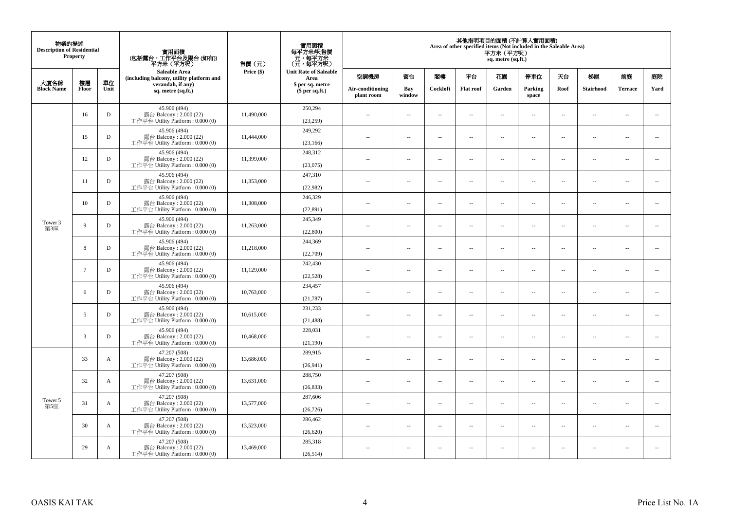| 物業的描述<br><b>Description of Residential</b> | <b>Property</b> |              | 實用面積<br>(包括露台,工作平台及陽台 (如有))<br>平方米 (平方呎)                                     | 售價(元)      | 實用面積<br>每平方米/呎售價<br>- 元, 每平方米<br>(元, 每平方呎) |                                |                          |                          |                          | 平方米(平方呎)<br>sq. metre (sq.ft.) | 其他指明項目的面積 (不計算入實用面積)<br>Area of other specified items (Not included in the Saleable Area) |                          |                          |                |                          |
|--------------------------------------------|-----------------|--------------|------------------------------------------------------------------------------|------------|--------------------------------------------|--------------------------------|--------------------------|--------------------------|--------------------------|--------------------------------|-------------------------------------------------------------------------------------------|--------------------------|--------------------------|----------------|--------------------------|
| 大廈名稱                                       | 樓層              | 單位           | <b>Saleable Area</b><br>(including balcony, utility platform and             | Price (\$) | <b>Unit Rate of Saleable</b><br>Area       | 空調機房                           | 窗台                       | 閣樓                       | 平台                       | 花園                             | 停車位                                                                                       | 天台                       | 梯屋                       | 前庭             | 庭院                       |
| <b>Block Name</b>                          | Floor           | Unit         | verandah, if any)<br>sq. metre (sq.ft.)                                      |            | \$ per sq. metre<br>$$$ per sq.ft.)        | Air-conditioning<br>plant room | Bay<br>window            | Cockloft                 | <b>Flat roof</b>         | Garden                         | Parking<br>space                                                                          | Roof                     | Stairhood                | <b>Terrace</b> | Yard                     |
|                                            | 16              | D            | 45.906 (494)<br>露台 Balcony: 2.000 (22)<br>工作平台 Utility Platform: 0.000 (0)   | 11,490,000 | 250,294<br>(23, 259)                       | $\sim$ $\sim$                  | $\overline{\phantom{a}}$ | 4                        | $\sim$                   | μ.                             | $\sim$                                                                                    | $\overline{\phantom{a}}$ | $\overline{\phantom{a}}$ | $\sim$         | $\sim$                   |
|                                            | 15              | D            | 45.906 (494)<br>露台 Balcony: 2.000 (22)<br>工作平台 Utility Platform : $0.000(0)$ | 11,444,000 | 249,292<br>(23, 166)                       | $\sim$                         | $\sim$                   | ÷.                       | $\sim$                   | μ.                             | $\sim$                                                                                    | $\sim$                   | $\overline{\phantom{a}}$ | $\sim$         | $\sim$                   |
|                                            | 12              | D            | 45.906 (494)<br>露台 Balcony: 2.000 (22)<br>工作平台 Utility Platform : $0.000(0)$ | 11,399,000 | 248,312<br>(23,075)                        | $-$                            | ÷.                       | $\sim$                   | $\sim$                   | μ.                             | $\sim$                                                                                    | $\overline{\phantom{a}}$ | $\overline{\phantom{a}}$ | $\sim$         | $\overline{\phantom{a}}$ |
|                                            | 11              | D            | 45.906 (494)<br>露台 Balcony: 2.000 (22)<br>工作平台 Utility Platform: 0.000 (0)   | 11,353,000 | 247,310<br>(22,982)                        | $\sim$                         | $\overline{\phantom{a}}$ | $\sim$                   | $\sim$                   | $\sim$                         | $\sim$                                                                                    | $\sim$                   | $\sim$                   | $\sim$         | $\sim$                   |
|                                            | 10              | D            | 45.906 (494)<br>露台 Balcony: 2.000 (22)<br>工作平台 Utility Platform: 0.000 (0)   | 11,308,000 | 246,329<br>(22, 891)                       |                                | $\sim$                   | 4                        | $\sim$                   | $\overline{\phantom{a}}$       | $\sim$                                                                                    | $\sim$                   | $\overline{\phantom{a}}$ | $\sim$         | $\sim$                   |
| Tower 3<br>第3座                             | 9               | D            | 45.906 (494)<br>露台 Balcony: 2.000 (22)<br>工作平台 Utility Platform: 0.000 (0)   | 11,263,000 | 245,349<br>(22,800)                        | $\sim$                         | $\sim$                   | $\sim$                   | $\sim$                   | $\overline{a}$                 | $\sim$                                                                                    | $\sim$                   | $\overline{\phantom{a}}$ | $\sim$         | $\sim$                   |
|                                            | 8               | D            | 45.906 (494)<br>露台 Balcony: 2.000 (22)<br>工作平台 Utility Platform : $0.000(0)$ | 11,218,000 | 244,369<br>(22,709)                        | $\sim$                         | $\overline{\phantom{a}}$ | $\overline{\phantom{a}}$ | $\sim$                   | ۰.                             | $\sim$                                                                                    | $\overline{\phantom{a}}$ | $\overline{\phantom{a}}$ | $\sim$         | $\overline{\phantom{a}}$ |
|                                            | $7\overline{ }$ | D            | 45.906 (494)<br>露台 Balcony: 2.000 (22)<br>工作平台 Utility Platform: 0.000 (0)   | 11,129,000 | 242,430<br>(22, 528)                       | $\sim$                         | $\sim$                   | $\sim$                   | $\sim$                   | $\overline{a}$                 | $\sim$                                                                                    | $\sim$                   | $\sim$                   | $\sim$         | $\sim$                   |
|                                            | 6               | D            | 45.906 (494)<br>露台 Balcony: 2.000 (22)<br>工作平台 Utility Platform: 0.000 (0)   | 10,763,000 | 234,457<br>(21, 787)                       | $\overline{a}$                 | $\sim$                   | $\sim$                   | $\sim$                   | μ.                             | $\sim$                                                                                    | $\overline{\phantom{a}}$ | $\overline{\phantom{a}}$ | $\sim$         | $\overline{\phantom{a}}$ |
|                                            | 5               | D            | 45.906 (494)<br>露台 Balcony: 2.000 (22)<br>工作平台 Utility Platform: 0.000 (0)   | 10,615,000 | 231,233<br>(21, 488)                       | $\overline{a}$                 | $\sim$                   | ÷.                       | $\sim$                   | μ.                             | $\sim$                                                                                    | $\sim$                   | $\overline{\phantom{a}}$ | $\sim$         | $\sim$                   |
|                                            | 3               | D            | 45.906 (494)<br>露台 Balcony: 2.000 (22)<br>工作平台 Utility Platform: 0.000 (0)   | 10,468,000 | 228,031<br>(21,190)                        | $-$                            | ÷.                       | $\sim$                   | $\sim$                   | $\overline{a}$                 | $\sim$                                                                                    | $\overline{\phantom{a}}$ | $\overline{\phantom{a}}$ | $\sim$         | $\sim$                   |
|                                            | 33              | $\mathbf{A}$ | 47.207 (508)<br>露台 Balcony: 2.000 (22)<br>工作平台 Utility Platform: 0.000 (0)   | 13,686,000 | 289,915<br>(26,941)                        | $\sim$                         | $\sim$                   | $\sim$                   | $\sim$                   | $\overline{a}$                 | $\sim$                                                                                    | $\sim$                   | $\sim$                   | $\sim$         | $\sim$                   |
|                                            | 32              | A            | 47.207 (508)<br>露台 Balcony: 2.000 (22)<br>工作平台 Utility Platform : 0.000 (0)  | 13,631,000 | 288,750<br>(26, 833)                       | $\overline{a}$                 | $\sim$                   | $\overline{\phantom{a}}$ | $\sim$                   | μ.                             | $\sim$                                                                                    | $\sim$                   | $\overline{\phantom{a}}$ | $\sim$         | $\sim$                   |
| Tower 5<br>第5座                             | 31              | $\mathbf{A}$ | 47.207 (508)<br>露台 Balcony: 2.000 (22)<br>工作平台 Utility Platform : $0.000(0)$ | 13,577,000 | 287,606<br>(26, 726)                       | $\overline{a}$                 | $\overline{\phantom{a}}$ | $\sim$                   | $\sim$                   | $\overline{a}$                 | $\sim$                                                                                    | $\sim$                   | $\overline{\phantom{a}}$ | $\sim$         | $\sim$                   |
|                                            | 30              | A            | 47.207 (508)<br>露台 Balcony: 2.000 (22)<br>工作平台 Utility Platform : $0.000(0)$ | 13.523,000 | 286,462<br>(26, 620)                       | $-$                            | $\sim$                   | $\sim$                   | $\sim$                   | ۰.                             | $\sim$                                                                                    | $\overline{\phantom{a}}$ | $\overline{\phantom{a}}$ | $\sim$         | $\sim$                   |
|                                            | 29              | A            | 47.207 (508)<br>露台 Balcony: 2.000 (22)<br>工作平台 Utility Platform: 0.000 (0)   | 13,469,000 | 285,318<br>(26, 514)                       | ٠.                             | $\overline{\phantom{a}}$ | 4                        | $\overline{\phantom{a}}$ | $\overline{\phantom{a}}$       | $\sim$                                                                                    | $\overline{\phantom{a}}$ | $\overline{\phantom{a}}$ | $\sim$         | $\sim$                   |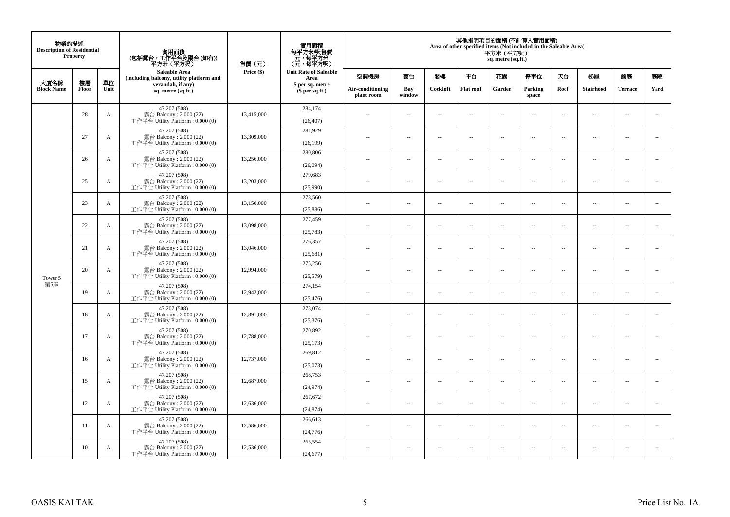| 物業的描述<br><b>Description of Residential</b> | Property    |              | 實用面積<br>(包括露台,工作平台及陽台(如有))<br>平方米 (平方呎)                                      | 售價(元)      | 實用面積<br>每平方米/呎售價<br>元,每平方米<br>(元,每平方呎) |                                |                          |                          |                          | 平方米 (平方呎)<br>sq. metre (sq.ft.) | 其他指明項目的面積 (不計算入實用面積)<br>Area of other specified items (Not included in the Saleable Area) |                          |                          |                          |                          |
|--------------------------------------------|-------------|--------------|------------------------------------------------------------------------------|------------|----------------------------------------|--------------------------------|--------------------------|--------------------------|--------------------------|---------------------------------|-------------------------------------------------------------------------------------------|--------------------------|--------------------------|--------------------------|--------------------------|
|                                            |             |              | Saleable Area<br>(including balcony, utility platform and                    | Price (\$) | <b>Unit Rate of Saleable</b><br>Area   | 空調機房                           | 窗台                       | 閣樓                       | 平台                       | 花園                              | 停車位                                                                                       | 天台                       | 梯屋                       | 前庭                       | 庭院                       |
| 大廈名稱<br><b>Block Name</b>                  | 樓層<br>Floor | 單位<br>Unit   | verandah, if any)<br>sq. metre (sq.ft.)                                      |            | \$ per sq. metre<br>$$$ per sq.ft.)    | Air-conditioning<br>plant room | Bay<br>window            | Cockloft                 | <b>Flat roof</b>         | Garden                          | Parking<br>space                                                                          | Roof                     | <b>Stairhood</b>         | <b>Terrace</b>           | Yard                     |
|                                            | 28          | A            | 47.207 (508)<br>露台 Balcony: 2.000 (22)<br>工作平台 Utility Platform : $0.000(0)$ | 13,415,000 | 284,174<br>(26, 407)                   | $\sim$                         | $\sim$                   | $\sim$                   | $\ddot{\phantom{a}}$     | μ.                              | $\sim$                                                                                    | $\overline{\phantom{a}}$ | $\overline{\phantom{a}}$ | $\bar{a}$                | $\overline{\phantom{a}}$ |
|                                            | 27          | A            | 47.207 (508)<br>露台 Balcony: 2.000 (22)<br>工作平台 Utility Platform : $0.000(0)$ | 13,309,000 | 281,929<br>(26, 199)                   | $\sim$                         | $\sim$                   | $\sim$                   | $\sim$                   | $\sim$                          | $\sim$                                                                                    | $\sim$                   | $\sim$                   | $\sim$                   | $\sim$                   |
|                                            | 26          | A            | 47.207 (508)<br>露台 Balcony: 2.000 (22)<br>工作平台 Utility Platform : $0.000(0)$ | 13,256,000 | 280,806<br>(26,094)                    | $\sim$ $-$                     | $\overline{\phantom{a}}$ | $\sim$                   | $\overline{\phantom{a}}$ | $\overline{\phantom{a}}$        | $\sim$                                                                                    | $\overline{\phantom{a}}$ | $\overline{\phantom{a}}$ | $\sim$                   | $\overline{\phantom{a}}$ |
|                                            | 25          | A            | 47.207 (508)<br>露台 Balcony: 2.000 (22)<br>工作平台 Utility Platform: 0.000 (0)   | 13,203,000 | 279,683<br>(25,990)                    | $\sim$                         | $\overline{a}$           | $\sim$                   | $\sim$                   | $\sim$                          | $\sim$                                                                                    | $\sim$                   | $\overline{a}$           | $\sim$                   | $\sim$                   |
| Tower 5                                    | 23          | $\mathbf{A}$ | 47.207 (508)<br>露台 Balcony: 2.000 (22)<br>工作平台 Utility Platform: 0.000 (0)   | 13,150,000 | 278,560<br>(25, 886)                   | $\overline{\phantom{a}}$       | $\overline{\phantom{a}}$ | $\overline{\phantom{a}}$ | $\ddotsc$                | --                              | $\sim$                                                                                    | $\sim$                   | $\cdots$                 | $\ddotsc$                | $\overline{\phantom{a}}$ |
|                                            | 22          | A            | 47.207 (508)<br>露台 Balcony: 2.000 (22)<br>工作平台 Utility Platform : $0.000(0)$ | 13,098,000 | 277,459<br>(25, 783)                   | $\sim$                         | $\sim$                   | $\sim$                   | $\sim$                   | $\overline{a}$                  | $\sim$                                                                                    | $\sim$                   | $\overline{\phantom{a}}$ | $\overline{\phantom{a}}$ | $\sim$                   |
|                                            | 21          | A            | 47.207 (508)<br>露台 Balcony: 2.000 (22)<br>工作平台 Utility Platform: 0.000 (0)   | 13,046,000 | 276,357<br>(25,681)                    | $\sim$                         | $\sim$                   | $\sim$                   | $\sim$                   | ш.                              | $\sim$                                                                                    | $\overline{\phantom{a}}$ | $\overline{\phantom{a}}$ | $\bar{a}$                | $\overline{\phantom{a}}$ |
|                                            | 20          | A            | 47.207 (508)<br>露台 Balcony: 2.000 (22)<br>工作平台 Utility Platform: 0.000 (0)   | 12,994,000 | 275,256<br>(25, 579)                   | $\sim$ $\sim$                  | $\sim$                   | $\sim$                   | $\sim$                   | $\sim$                          | $\sim$                                                                                    | $\sim$                   | $\sim$                   | $\sim$                   | $\bar{ }$                |
| 第5座                                        | 19          | A            | 47.207 (508)<br>露台 Balcony: 2.000 (22)<br>工作平台 Utility Platform: 0.000 (0)   | 12,942,000 | 274,154<br>(25, 476)                   | $\sim$                         | $\sim$                   | $\sim$                   | $\sim$                   | ш.                              | $\sim$                                                                                    | $\sim$                   | $\overline{\phantom{a}}$ | $\bar{a}$                | $\sim$                   |
|                                            | 18          | A            | 47.207 (508)<br>露台 Balcony: 2.000 (22)<br>工作平台 Utility Platform : $0.000(0)$ | 12,891,000 | 273,074<br>(25, 376)                   | $\sim$                         | $\overline{a}$           | $\sim$                   | $\sim$                   | $\sim$                          | $\sim$                                                                                    | $\sim$                   | $\overline{a}$           | $\sim$                   | $\sim$                   |
|                                            | 17          | A            | 47.207 (508)<br>露台 Balcony: 2.000 (22)<br>工作平台 Utility Platform : $0.000(0)$ | 12,788,000 | 270,892<br>(25, 173)                   | $\sim$ $-$                     | $\overline{\phantom{a}}$ | $\overline{\phantom{a}}$ | $\overline{\phantom{a}}$ | --                              | $\overline{\phantom{a}}$                                                                  | $\overline{\phantom{a}}$ | $\overline{\phantom{a}}$ | $\overline{\phantom{a}}$ | $\overline{\phantom{a}}$ |
|                                            | 16          | A            | 47.207 (508)<br>露台 Balcony: 2.000 (22)<br>工作平台 Utility Platform : $0.000(0)$ | 12,737,000 | 269,812<br>(25,073)                    | $\sim$                         | $\sim$                   | $\sim$                   | $\sim$                   | ш.                              | $\sim$                                                                                    | $\overline{\phantom{a}}$ | $\overline{\phantom{a}}$ | $\sim$                   | $\sim$                   |
|                                            | 15          | A            | 47.207 (508)<br>露台 Balcony: 2.000 (22)<br>工作平台 Utility Platform: 0.000 (0)   | 12,687,000 | 268,753<br>(24, 974)                   | ÷.                             | $\sim$                   | $\sim$                   | $\sim$                   | ш.                              | $\sim$                                                                                    | $\overline{\phantom{a}}$ | $\overline{\phantom{a}}$ | $\sim$                   | $\sim$                   |
|                                            | 12          | A            | 47.207 (508)<br>露台 Balcony: 2.000 (22)<br>工作平台 Utility Platform: 0.000 (0)   | 12,636,000 | 267,672<br>(24, 874)                   | $\sim$ $-$                     | $\overline{\phantom{a}}$ | $\overline{\phantom{a}}$ | $\overline{\phantom{a}}$ | $\overline{\phantom{a}}$        | $\sim$                                                                                    | $\overline{\phantom{a}}$ | $\overline{\phantom{a}}$ | $\overline{\phantom{a}}$ | $\sim$                   |
|                                            | 11          | A            | 47.207 (508)<br>露台 Balcony: 2.000 (22)<br>工作平台 Utility Platform : $0.000(0)$ | 12,586,000 | 266,613<br>(24, 776)                   | $\sim$                         | $\sim$                   | $\sim$                   | $\sim$                   | $\overline{\phantom{a}}$        | $\sim$                                                                                    | $\sim$                   | $\overline{\phantom{a}}$ | $\bar{a}$                | $\sim$                   |
|                                            | 10          | A            | 47.207 (508)<br>露台 Balcony: 2.000 (22)<br>工作平台 Utility Platform: 0.000 (0)   | 12,536,000 | 265,554<br>(24, 677)                   | $-$                            | $\sim$                   | $\sim$                   | $\sim$                   | $\sim$                          | $\sim$                                                                                    | $\sim$                   | $\sim$                   | $\sim$                   | $\sim$                   |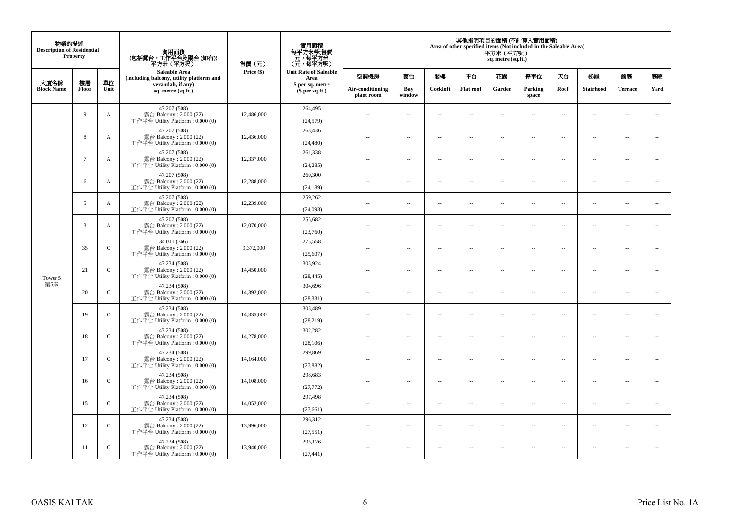| 物業的描述<br><b>Description of Residential</b> | Property        |               | 實用面積<br>(包括露台,工作平台及陽台(如有))<br>平方米 (平方呎)                                      | 售價(元)      | 實用面積<br>每平方米/呎售價<br>元,每平方米<br>(元,每平方呎) |                                |                          |                          |                          | 平方米 (平方呎)<br>sq. metre (sq.ft.) | 其他指明項目的面積 (不計算入實用面積)<br>Area of other specified items (Not included in the Saleable Area) |                          |                          |                          |                          |
|--------------------------------------------|-----------------|---------------|------------------------------------------------------------------------------|------------|----------------------------------------|--------------------------------|--------------------------|--------------------------|--------------------------|---------------------------------|-------------------------------------------------------------------------------------------|--------------------------|--------------------------|--------------------------|--------------------------|
|                                            |                 |               | <b>Saleable Area</b><br>(including balcony, utility platform and             | Price (\$) | <b>Unit Rate of Saleable</b><br>Area   | 空調機房                           | 窗台                       | 閣樓                       | 平台                       | 花園                              | 停車位                                                                                       | 天台                       | 梯屋                       | 前庭                       | 庭院                       |
| 大廈名稱<br><b>Block Name</b>                  | 樓層<br>Floor     | 單位<br>Unit    | verandah, if any)<br>sq. metre (sq.ft.)                                      |            | \$ per sq. metre<br>$$$ per sq.ft.)    | Air-conditioning<br>plant room | Bay<br>window            | Cockloft                 | <b>Flat roof</b>         | Garden                          | Parking<br>space                                                                          | Roof                     | <b>Stairhood</b>         | <b>Terrace</b>           | Yard                     |
|                                            | 9               | A             | 47.207 (508)<br>露台 Balcony: 2.000 (22)<br>工作平台 Utility Platform : $0.000(0)$ | 12,486,000 | 264,495<br>(24, 579)                   | $\sim$                         | $\sim$                   | $\sim$                   | $\ddot{\phantom{a}}$     | ш.                              | $\sim$                                                                                    | $\overline{\phantom{a}}$ | $\overline{\phantom{a}}$ | $\bar{a}$                | $\overline{\phantom{a}}$ |
|                                            | 8               | A             | 47.207 (508)<br>露台 Balcony: 2.000 (22)<br>工作平台 Utility Platform : $0.000(0)$ | 12,436,000 | 263,436<br>(24, 480)                   | $\sim$                         | $\sim$                   | $\sim$                   | $\sim$                   | $\sim$                          | $\sim$                                                                                    | $\sim$                   | $\sim$                   | $\sim$                   | $\sim$                   |
|                                            | $7\overline{ }$ | A             | 47.207 (508)<br>露台 Balcony: 2.000 (22)<br>工作平台 Utility Platform : $0.000(0)$ | 12,337,000 | 261,338<br>(24, 285)                   | $\sim$                         | $\overline{\phantom{a}}$ | $\sim$                   | $\overline{\phantom{a}}$ | $\overline{\phantom{a}}$        | $\sim$                                                                                    | $\overline{\phantom{a}}$ | $\overline{\phantom{a}}$ | $\sim$                   | $\overline{\phantom{a}}$ |
|                                            | 6               | A             | 47.207 (508)<br>露台 Balcony: 2.000 (22)<br>工作平台 Utility Platform: 0.000 (0)   | 12,288,000 | 260,300<br>(24, 189)                   | $\sim$                         | $\overline{a}$           | $\sim$                   | $\sim$                   | $\sim$                          | $\sim$                                                                                    | $\sim$                   | $\overline{a}$           | $\sim$                   | $\sim$                   |
| Tower 5                                    | 5               | A             | 47.207 (508)<br>露台 Balcony: 2.000 (22)<br>工作平台 Utility Platform: 0.000 (0)   | 12,239,000 | 259,262<br>(24,093)                    | $\overline{\phantom{a}}$       | $\overline{\phantom{a}}$ | $\overline{\phantom{a}}$ | $\ddotsc$                | --                              | $\ddotsc$                                                                                 | $\sim$                   | $\cdots$                 | $\ddotsc$                | $\overline{\phantom{a}}$ |
|                                            | 3               | A             | 47.207 (508)<br>露台 Balcony: 2.000 (22)<br>工作平台 Utility Platform : $0.000(0)$ | 12,070,000 | 255,682<br>(23,760)                    | $\sim$                         | $\sim$                   | $\sim$                   | $\sim$                   | $\overline{a}$                  | $\sim$                                                                                    | $\sim$                   | $\overline{\phantom{a}}$ | $\overline{\phantom{a}}$ | $\sim$                   |
|                                            | 35              | $\mathsf{C}$  | 34.011 (366)<br>露台 Balcony: 2.000 (22)<br>工作平台 Utility Platform: 0.000 (0)   | 9,372,000  | 275,558<br>(25, 607)                   | $\sim$                         | $\sim$                   | $\sim$                   | $\sim$                   | μ.                              | $\sim$                                                                                    | $\overline{\phantom{a}}$ | $\overline{\phantom{a}}$ | $\bar{a}$                | $\overline{\phantom{a}}$ |
|                                            | 21              | $\mathbf{C}$  | 47.234 (508)<br>露台 Balcony: 2.000 (22)<br>工作平台 Utility Platform: 0.000 (0)   | 14,450,000 | 305,924<br>(28, 445)                   | $\sim$ $\sim$                  | $\sim$                   | $\sim$                   | $\sim$                   | $\sim$                          | $\sim$                                                                                    | $\sim$                   | $\sim$                   | $\sim$                   | $\overline{\phantom{a}}$ |
| 第5座                                        | 20              | $\mathbf{C}$  | 47.234 (508)<br>露台 Balcony: 2.000 (22)<br>工作平台 Utility Platform: 0.000 (0)   | 14,392,000 | 304,696<br>(28, 331)                   | $\sim$                         | $\sim$                   | $\sim$                   | $\sim$                   | μ.                              | $\sim$                                                                                    | $\sim$                   | $\overline{\phantom{a}}$ | $\bar{a}$                | $\sim$                   |
|                                            | 19              | $\mathbf C$   | 47.234 (508)<br>露台 Balcony: 2.000 (22)<br>工作平台 Utility Platform : $0.000(0)$ | 14,335,000 | 303,489<br>(28, 219)                   | $\sim$                         | $\overline{a}$           | $\sim$                   | $\sim$                   | $\sim$                          | $\sim$                                                                                    | $\sim$                   | $\overline{a}$           | $\sim$                   | $\sim$                   |
|                                            | 18              | $\mathcal{C}$ | 47.234 (508)<br>露台 Balcony: 2.000 (22)<br>工作平台 Utility Platform : $0.000(0)$ | 14,278,000 | 302,282<br>(28, 106)                   | $\sim$ $-$                     | $\overline{\phantom{a}}$ | $\overline{\phantom{a}}$ | $\overline{\phantom{a}}$ | --                              | $\overline{\phantom{a}}$                                                                  | $\overline{\phantom{a}}$ | $\overline{\phantom{a}}$ | $\overline{\phantom{a}}$ | $\overline{\phantom{a}}$ |
|                                            | 17              | $\mathbf{C}$  | 47.234 (508)<br>露台 Balcony: 2.000 (22)<br>工作平台 Utility Platform : $0.000(0)$ | 14,164,000 | 299,869<br>(27, 882)                   | $\sim$                         | $\sim$                   | $\sim$                   | $\sim$                   | μ.                              | $\sim$                                                                                    | $\overline{\phantom{a}}$ | $\overline{\phantom{a}}$ | $\sim$                   | $\sim$                   |
|                                            | 16              | $\mathbf{C}$  | 47.234 (508)<br>露台 Balcony: 2.000 (22)<br>工作平台 Utility Platform: 0.000 (0)   | 14,108,000 | 298,683<br>(27, 772)                   | ÷.                             | $\sim$                   | $\sim$                   | $\sim$                   | μ.                              | $\sim$                                                                                    | $\overline{\phantom{a}}$ | $\overline{\phantom{a}}$ | $\sim$                   | $\sim$                   |
|                                            | 15              | $\mathbf{C}$  | 47.234 (508)<br>露台 Balcony: 2.000 (22)<br>工作平台 Utility Platform: 0.000 (0)   | 14,052,000 | 297,498<br>(27, 661)                   | $\sim$ $-$                     | $\overline{\phantom{a}}$ | $\overline{\phantom{a}}$ | $\overline{\phantom{a}}$ | $\overline{\phantom{a}}$        | $\sim$                                                                                    | $\overline{\phantom{a}}$ | $\overline{\phantom{a}}$ | $\overline{\phantom{a}}$ | $\sim$                   |
|                                            | 12              | $\mathbf{C}$  | 47.234 (508)<br>露台 Balcony: 2.000 (22)<br>工作平台 Utility Platform : $0.000(0)$ | 13,996,000 | 296,312<br>(27, 551)                   | $\sim$                         | $\sim$                   | $\sim$                   | $\sim$                   | $\overline{\phantom{a}}$        | $\sim$                                                                                    | $\sim$                   | $\overline{\phantom{a}}$ | $\bar{a}$                | $\sim$                   |
|                                            | 11              | $\mathsf{C}$  | 47.234 (508)<br>露台 Balcony: 2.000 (22)<br>工作平台 Utility Platform: 0.000 (0)   | 13,940,000 | 295,126<br>(27, 441)                   | $-$                            | $\sim$                   | $\sim$                   | $\sim$                   | $\sim$                          | $\sim$                                                                                    | $\sim$                   | $\sim$                   | $\sim$                   | $\sim$                   |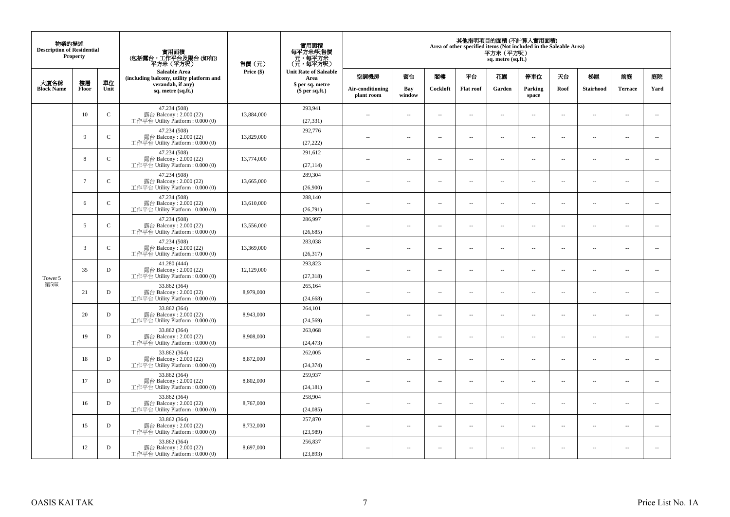| 物業的描述<br><b>Description of Residential</b> | Property        |               | 實用面積<br>(包括露台,工作平台及陽台(如有))<br>平方米 (平方呎)                                      | 售價(元)      | 實用面積<br>每平方米/呎售價<br>元,每平方米<br>(元,每平方呎) |                                |                          |                          |                          | 平方米 (平方呎)<br>sq. metre (sq.ft.) | 其他指明項目的面積 (不計算入實用面積)<br>Area of other specified items (Not included in the Saleable Area) |                          |                          |                          |                          |
|--------------------------------------------|-----------------|---------------|------------------------------------------------------------------------------|------------|----------------------------------------|--------------------------------|--------------------------|--------------------------|--------------------------|---------------------------------|-------------------------------------------------------------------------------------------|--------------------------|--------------------------|--------------------------|--------------------------|
| 大廈名稱                                       | 樓層              | 單位            | <b>Saleable Area</b><br>(including balcony, utility platform and             | Price (\$) | <b>Unit Rate of Saleable</b><br>Area   | 空調機房                           | 窗台                       | 閣樓                       | 平台                       | 花園                              | 停車位                                                                                       | 天台                       | 梯屋                       | 前庭                       | 庭院                       |
| <b>Block Name</b>                          | Floor           | Unit          | verandah, if any)<br>sq. metre (sq.ft.)                                      |            | \$ per sq. metre<br>$$$ per sq.ft.)    | Air-conditioning<br>plant room | Bay<br>window            | Cockloft                 | <b>Flat roof</b>         | Garden                          | Parking<br>space                                                                          | Roof                     | <b>Stairhood</b>         | <b>Terrace</b>           | Yard                     |
|                                            | 10              | $\mathbf C$   | 47.234 (508)<br>露台 Balcony: 2.000 (22)<br>工作平台 Utility Platform : $0.000(0)$ | 13,884,000 | 293,941<br>(27, 331)                   | $\sim$                         | $\sim$                   | $\sim$                   | $\ddot{\phantom{a}}$     | μ.                              | $\sim$                                                                                    | $\overline{\phantom{a}}$ | $\overline{\phantom{a}}$ | $\bar{a}$                | $\overline{\phantom{a}}$ |
|                                            | 9               | $\mathbf C$   | 47.234 (508)<br>露台 Balcony: 2.000 (22)<br>工作平台 Utility Platform : $0.000(0)$ | 13,829,000 | 292,776<br>(27, 222)                   | $\sim$                         | $\sim$                   | $\sim$                   | $\sim$                   | $\sim$                          | $\sim$                                                                                    | $\sim$                   | $\sim$                   | $\sim$                   | $\sim$                   |
|                                            | 8               | $\mathcal{C}$ | 47.234 (508)<br>露台 Balcony: 2.000 (22)<br>工作平台 Utility Platform : $0.000(0)$ | 13,774,000 | 291,612<br>(27, 114)                   | $\sim$ $-$                     | $\overline{\phantom{a}}$ | $\sim$                   | $\overline{\phantom{a}}$ | $\overline{\phantom{a}}$        | $\sim$                                                                                    | $\overline{\phantom{a}}$ | $\overline{\phantom{a}}$ | $\sim$                   | $\overline{\phantom{a}}$ |
|                                            | $7\phantom{.0}$ | $\mathbf{C}$  | 47.234 (508)<br>露台 Balcony: 2.000 (22)<br>工作平台 Utility Platform: 0.000 (0)   | 13,665,000 | 289,304<br>(26,900)                    | $\sim$                         | $\overline{a}$           | $\sim$                   | $\sim$                   | $\sim$                          | $\sim$                                                                                    | $\sim$                   | $\overline{\phantom{a}}$ | $\sim$                   | $\sim$                   |
|                                            | 6               | $\mathbf C$   | 47.234 (508)<br>露台 Balcony: 2.000 (22)<br>工作平台 Utility Platform: 0.000 (0)   | 13,610,000 | 288,140<br>(26,791)                    | $\overline{\phantom{a}}$       | $\overline{\phantom{a}}$ | $\overline{\phantom{a}}$ | $\ddotsc$                | --                              | $\ddotsc$                                                                                 | $\sim$                   | $\cdots$                 | $\ddotsc$                | $\overline{\phantom{a}}$ |
|                                            | 5               | $\mathsf{C}$  | 47.234 (508)<br>露台 Balcony: 2.000 (22)<br>工作平台 Utility Platform : $0.000(0)$ | 13,556,000 | 286,997<br>(26, 685)                   | $\sim$                         | $\sim$                   | $\sim$                   | $\sim$                   | $\overline{a}$                  | $\sim$                                                                                    | $\sim$                   | $\overline{\phantom{a}}$ | $\overline{\phantom{a}}$ | $\sim$                   |
|                                            | 3               | $\mathbf{C}$  | 47.234 (508)<br>露台 Balcony: 2.000 (22)<br>工作平台 Utility Platform: 0.000 (0)   | 13,369,000 | 283,038<br>(26, 317)                   | $\sim$                         | $\sim$                   | $\sim$                   | $\sim$                   | μ.                              | $\sim$                                                                                    | $\overline{\phantom{a}}$ | $\overline{\phantom{a}}$ | $\bar{a}$                | $\overline{\phantom{a}}$ |
| Tower 5                                    | 35              | D             | 41.280 (444)<br>露台 Balcony: 2.000 (22)<br>工作平台 Utility Platform: 0.000 (0)   | 12,129,000 | 293,823<br>(27, 318)                   | $\sim$ $\sim$                  | $\sim$                   | $\sim$                   | $\sim$                   | $\sim$                          | $\sim$                                                                                    | $\sim$                   | $\sim$                   | $\sim$                   | $\overline{\phantom{a}}$ |
| 第5座                                        | 21              | D             | 33.862 (364)<br>露台 Balcony: 2.000 (22)<br>工作平台 Utility Platform: 0.000 (0)   | 8,979,000  | 265,164<br>(24, 668)                   | $\sim$                         | $\sim$                   | $\sim$                   | $\sim$                   | μ.                              | $\sim$                                                                                    | $\sim$                   | $\overline{\phantom{a}}$ | $\bar{a}$                | $\sim$                   |
|                                            | 20              | D             | 33.862 (364)<br>露台 Balcony: 2.000 (22)<br>工作平台 Utility Platform : $0.000(0)$ | 8,943,000  | 264,101<br>(24, 569)                   | $\sim$                         | $\overline{a}$           | $\sim$                   | $\sim$                   | $\sim$                          | $\sim$                                                                                    | $\sim$                   | $\overline{a}$           | $\sim$                   | $\sim$                   |
|                                            | 19              | D             | 33.862 (364)<br>露台 Balcony: 2.000 (22)<br>工作平台 Utility Platform : $0.000(0)$ | 8,908,000  | 263,068<br>(24, 473)                   | $\sim$ $-$                     | $\overline{\phantom{a}}$ | $\overline{\phantom{a}}$ | $\overline{\phantom{a}}$ | --                              | $\overline{\phantom{a}}$                                                                  | $\overline{\phantom{a}}$ | $\overline{\phantom{a}}$ | $\overline{\phantom{a}}$ | $\overline{\phantom{a}}$ |
|                                            | 18              | D             | 33.862 (364)<br>露台 Balcony: 2.000 (22)<br>工作平台 Utility Platform : $0.000(0)$ | 8,872,000  | 262,005<br>(24, 374)                   | $\sim$                         | $\sim$                   | $\sim$                   | $\sim$                   | μ.                              | $\sim$                                                                                    | $\overline{\phantom{a}}$ | $\overline{\phantom{a}}$ | $\sim$                   | $\sim$                   |
|                                            | 17              | D             | 33.862 (364)<br>露台 Balcony: 2.000 (22)<br>工作平台 Utility Platform : $0.000(0)$ | 8,802,000  | 259,937<br>(24, 181)                   | ÷.                             | $\sim$                   | $\sim$                   | $\sim$                   | μ.                              | $\sim$                                                                                    | $\overline{\phantom{a}}$ | $\overline{\phantom{a}}$ | $\sim$                   | $\sim$                   |
|                                            | 16              | D             | 33.862 (364)<br>露台 Balcony: 2.000 (22)<br>工作平台 Utility Platform : $0.000(0)$ | 8,767,000  | 258,904<br>(24,085)                    | $\sim$ $-$                     | $\overline{\phantom{a}}$ | $\overline{\phantom{a}}$ | $\overline{\phantom{a}}$ | $\overline{\phantom{a}}$        | $\sim$                                                                                    | $\overline{\phantom{a}}$ | $\overline{\phantom{a}}$ | $\overline{\phantom{a}}$ | $\sim$                   |
|                                            | 15              | D             | 33.862 (364)<br>露台 Balcony: 2.000 (22)<br>工作平台 Utility Platform : $0.000(0)$ | 8,732,000  | 257,870<br>(23,989)                    | $\sim$                         | $\sim$                   | $\sim$                   | $\sim$                   | $\overline{\phantom{a}}$        | $\sim$                                                                                    | $\sim$                   | $\overline{\phantom{a}}$ | $\bar{a}$                | $\sim$                   |
|                                            | 12              | D             | 33.862 (364)<br>露台 Balcony: 2.000 (22)<br>工作平台 Utility Platform: 0.000 (0)   | 8,697,000  | 256,837<br>(23,893)                    | $-$                            | $\sim$                   | $\sim$                   | $\sim$                   | $\sim$                          | $\sim$                                                                                    | $\sim$                   | $\sim$                   | $\sim$                   | $\sim$                   |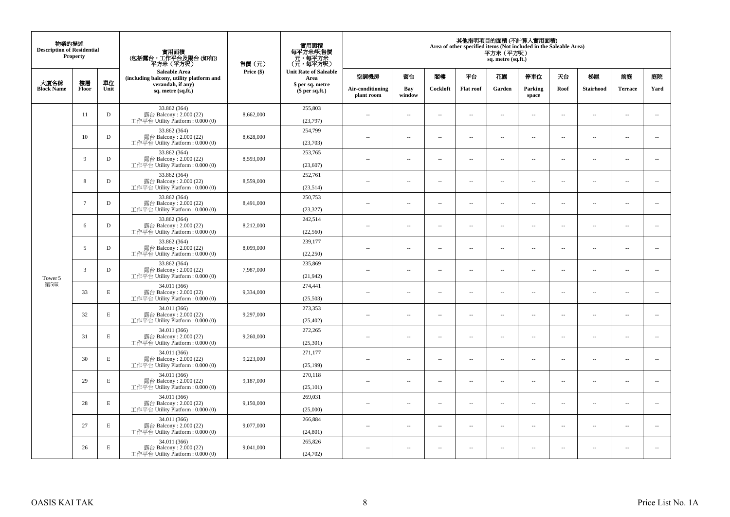| 物業的描述<br><b>Description of Residential</b> | Property |             | 實用面積<br>(包括露台,工作平台及陽台(如有))<br>平方米(平方呎)                                      | 售價(元)      | 實用面積<br>每平方米/呎售價<br>- 元, 每平方米<br>(元, 每平方呎) |                                |                          |                          |                          | 平方米 (平方呎)<br>sq. metre (sq.ft.) | 其他指明項目的面積 (不計算入實用面積)<br>Area of other specified items (Not included in the Saleable Area) |                          |                          |                          |                          |
|--------------------------------------------|----------|-------------|-----------------------------------------------------------------------------|------------|--------------------------------------------|--------------------------------|--------------------------|--------------------------|--------------------------|---------------------------------|-------------------------------------------------------------------------------------------|--------------------------|--------------------------|--------------------------|--------------------------|
|                                            | 樓層       | 單位          | Saleable Area<br>(including balcony, utility platform and                   | Price (\$) | <b>Unit Rate of Saleable</b><br>Area       | 空調機房                           | 窗台                       | 閨樓                       | 平台                       | 花園                              | 停車位                                                                                       | 天台                       | 梯屋                       | 前庭                       | 庭院                       |
| 大廈名稱<br><b>Block Name</b>                  | Floor    | Unit        | verandah, if any)<br>sq. metre (sq.ft.)                                     |            | \$ per sq. metre<br>\$per sq.ft.)          | Air-conditioning<br>plant room | Bay<br>window            | Cockloft                 | <b>Flat roof</b>         | Garden                          | Parking<br>space                                                                          | Roof                     | <b>Stairhood</b>         | <b>Terrace</b>           | Yard                     |
|                                            | 11       | $\mathbf D$ | 33.862 (364)<br>露台 Balcony: 2.000 (22)<br>工作平台 Utility Platform : 0.000 (0) | 8,662,000  | 255,803<br>(23,797)                        | $\sim$ $\sim$                  | μ.                       | $\sim$                   | $\sim$                   | $\ldots$                        | $\sim$                                                                                    | $\overline{\phantom{a}}$ | $\overline{\phantom{a}}$ | $\bar{a}$                | $\overline{\phantom{a}}$ |
|                                            | 10       | $\mathbf D$ | 33.862 (364)<br>露台 Balcony: 2.000 (22)<br>工作平台 Utility Platform: 0.000 (0)  | 8,628,000  | 254,799<br>(23,703)                        | $\sim$                         | $\overline{a}$           | $\sim$                   | $\sim$                   | $\sim$                          | $\sim$                                                                                    | $\sim$                   | $\sim$                   | $\sim$                   | $\sim$                   |
|                                            | 9        | $\mathbf D$ | 33.862 (364)<br>露台 Balcony: 2.000 (22)<br>工作平台 Utility Platform : 0.000 (0) | 8,593,000  | 253,765<br>(23,607)                        | $\overline{a}$                 | μ.                       | $\sim$                   | $\sim$                   | $\overline{\phantom{a}}$        | $\sim$                                                                                    | $\overline{\phantom{a}}$ | $\overline{\phantom{a}}$ | $\sim$                   | $\overline{\phantom{a}}$ |
|                                            | 8        | $\mathbf D$ | 33.862 (364)<br>露台 Balcony: 2.000 (22)<br>工作平台 Utility Platform : 0.000 (0) | 8,559,000  | 252,761<br>(23,514)                        | $\sim$                         | $\sim$                   | $\sim$                   | $\sim$                   | $\overline{a}$                  | $\sim$                                                                                    | $\sim$                   | $\overline{\phantom{a}}$ | $\sim$                   | $\sim$                   |
|                                            | $\tau$   | $\mathbf D$ | 33.862 (364)<br>露台 Balcony: 2.000 (22)<br>工作平台 Utility Platform: 0.000 (0)  | 8,491,000  | 250,753<br>(23, 327)                       | ٠.                             | --                       | $\overline{\phantom{a}}$ | $\overline{\phantom{a}}$ | --                              | $\sim$                                                                                    | $\overline{\phantom{a}}$ | $\cdots$                 | $\ddotsc$                | $\overline{\phantom{a}}$ |
| Tower 5                                    | 6        | $\mathbf D$ | 33.862 (364)<br>露台 Balcony: 2.000 (22)<br>工作平台 Utility Platform : 0.000 (0) | 8,212,000  | 242,514<br>(22, 560)                       | $\sim$                         | $\overline{a}$           | $\sim$                   | $\sim$                   | $\sim$                          | $\sim$                                                                                    | $\overline{\phantom{a}}$ | $\overline{\phantom{a}}$ | $\overline{\phantom{a}}$ | $\sim$                   |
|                                            | 5        | D           | 33.862 (364)<br>露台 Balcony: 2.000 (22)<br>工作平台 Utility Platform : 0.000 (0) | 8,099,000  | 239,177<br>(22, 250)                       | 44                             | μ.                       | $\sim$                   | $\sim$                   | μ.                              | $\sim$                                                                                    | $\overline{\phantom{a}}$ | $\overline{\phantom{a}}$ | $\bar{a}$                | $\overline{\phantom{a}}$ |
|                                            | 3        | D           | 33.862 (364)<br>露台 Balcony: 2.000 (22)<br>工作平台 Utility Platform: 0.000 (0)  | 7,987,000  | 235,869<br>(21, 942)                       | $\sim$ $\sim$                  | $\overline{a}$           | $\sim$                   | $\sim$                   | $\overline{a}$                  | $\sim$                                                                                    | $\sim$                   | $\sim$                   | $\sim$                   | $\bar{ }$                |
| 第5座                                        | 33       | $\mathbf E$ | 34.011 (366)<br>露台 Balcony: 2.000 (22)<br>工作平台 Utility Platform : 0.000 (0) | 9,334,000  | 274,441<br>(25,503)                        | 44                             | μ.                       | $\sim$                   | $\sim$                   | μ.                              | $\sim$                                                                                    | $\sim$                   | $\overline{\phantom{a}}$ | $\bar{a}$                | $\sim$                   |
|                                            | 32       | $\mathbf E$ | 34.011 (366)<br>露台 Balcony: 2.000 (22)<br>工作平台 Utility Platform : 0.000 (0) | 9.297,000  | 273,353<br>(25, 402)                       | $\overline{a}$                 | $\overline{a}$           | $\sim$                   | $\sim$                   | $\overline{a}$                  | $\sim$                                                                                    | $\sim$                   | $\overline{\phantom{a}}$ | $\sim$                   | $\sim$                   |
|                                            | 31       | $\mathbf E$ | 34.011 (366)<br>露台 Balcony: 2.000 (22)<br>工作平台 Utility Platform : 0.000 (0) | 9,260,000  | 272,265<br>(25, 301)                       | ٠.                             | --                       | $\overline{\phantom{a}}$ | $\overline{\phantom{a}}$ | --                              | $\overline{\phantom{a}}$                                                                  | $\overline{\phantom{a}}$ | $\overline{\phantom{a}}$ | $\overline{\phantom{a}}$ | $\overline{\phantom{a}}$ |
|                                            | 30       | E           | 34.011 (366)<br>露台 Balcony: 2.000 (22)<br>工作平台 Utility Platform : 0.000 (0) | 9,223,000  | 271,177<br>(25, 199)                       | $\overline{a}$                 | $\overline{\phantom{a}}$ | $\sim$                   | $\sim$                   | $\overline{\phantom{a}}$        | $\sim$                                                                                    | $\overline{\phantom{a}}$ | $\overline{\phantom{a}}$ | $\sim$                   | $\sim$                   |
|                                            | 29       | E           | 34.011 (366)<br>露台 Balcony: 2.000 (22)<br>工作平台 Utility Platform: 0.000 (0)  | 9,187,000  | 270,118<br>(25, 101)                       | ÷.                             | μ.                       | $\sim$                   | $\sim$                   | Ξ.                              | $\sim$                                                                                    | $\overline{\phantom{a}}$ | $\overline{\phantom{a}}$ | $\sim$                   | $\sim$                   |
|                                            | 28       | $\mathbf E$ | 34.011 (366)<br>露台 Balcony: 2.000 (22)<br>工作平台 Utility Platform: 0.000 (0)  | 9,150,000  | 269,031<br>(25,000)                        | $\sim$ $-$                     | $\overline{\phantom{a}}$ | $\sim$                   | $\overline{\phantom{a}}$ | $\overline{\phantom{a}}$        | $\sim$                                                                                    | $\overline{\phantom{a}}$ | $\overline{\phantom{a}}$ | $\overline{\phantom{a}}$ | $\sim$                   |
|                                            | 27       | E           | 34.011 (366)<br>露台 Balcony: 2.000 (22)<br>工作平台 Utility Platform : 0.000 (0) | 9,077,000  | 266,884<br>(24, 801)                       | $\overline{a}$                 | μ.                       | $\sim$                   | $\sim$                   | $\overline{\phantom{a}}$        | $\sim$                                                                                    | $\sim$                   | $\sim$                   | $\bar{a}$                | $\sim$                   |
|                                            | 26       | E           | 34.011 (366)<br>露台 Balcony: 2.000 (22)<br>工作平台 Utility Platform : 0.000 (0) | 9,041,000  | 265,826<br>(24,702)                        | $\sim$ $\sim$                  | $\sim$                   | $\sim$                   | $\sim$                   | $\sim$                          | $\sim$                                                                                    | $\sim$                   | $\sim$                   | $\sim$                   | $\sim$                   |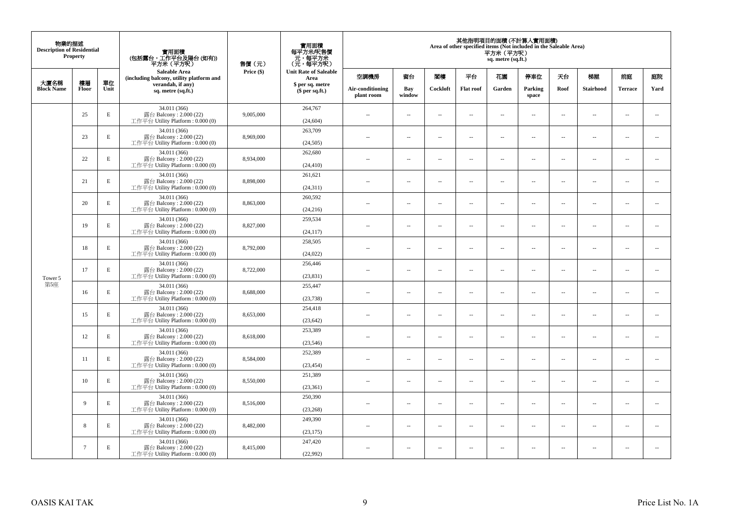| 物業的描述<br><b>Description of Residential</b> | Property        |             | 實用面積<br>(包括露台,工作平台及陽台(如有))<br>平方米 (平方呎)                                      | 售價(元)      | 實用面積<br>每平方米/呎售價<br>元,每平方米<br>(元,每平方呎) |                                |                          |                          |                          | 平方米 (平方呎)<br>sq. metre (sq.ft.) | 其他指明項目的面積 (不計算入實用面積)<br>Area of other specified items (Not included in the Saleable Area) |                          |                          |                          |                          |
|--------------------------------------------|-----------------|-------------|------------------------------------------------------------------------------|------------|----------------------------------------|--------------------------------|--------------------------|--------------------------|--------------------------|---------------------------------|-------------------------------------------------------------------------------------------|--------------------------|--------------------------|--------------------------|--------------------------|
| 大廈名稱                                       | 樓層              | 單位          | Saleable Area<br>(including balcony, utility platform and                    | Price (\$) | <b>Unit Rate of Saleable</b><br>Area   | 空調機房                           | 窗台                       | 閣樓                       | 平台                       | 花園                              | 停車位                                                                                       | 天台                       | 梯屋                       | 前庭                       | 庭院                       |
| <b>Block Name</b>                          | Floor           | Unit        | verandah, if any)<br>sq. metre (sq.ft.)                                      |            | \$ per sq. metre<br>$$$ per sq.ft.)    | Air-conditioning<br>plant room | Bay<br>window            | Cockloft                 | <b>Flat roof</b>         | Garden                          | Parking<br>space                                                                          | Roof                     | <b>Stairhood</b>         | <b>Terrace</b>           | Yard                     |
|                                            | 25              | E           | 34.011 (366)<br>露台 Balcony: 2.000 (22)<br>工作平台 Utility Platform : $0.000(0)$ | 9,005,000  | 264,767<br>(24, 604)                   | $\sim$                         | $\sim$                   | $\sim$                   | $\ddot{\phantom{a}}$     | μ.                              | $\sim$                                                                                    | $\overline{\phantom{a}}$ | $\overline{\phantom{a}}$ | $\bar{a}$                | $\overline{\phantom{a}}$ |
|                                            | 23              | E           | 34.011 (366)<br>露台 Balcony: 2.000 (22)<br>工作平台 Utility Platform: 0.000 (0)   | 8,969,000  | 263,709<br>(24, 505)                   | $\sim$                         | $\sim$                   | $\sim$                   | $\sim$                   | $\sim$                          | $\sim$                                                                                    | $\sim$                   | $\sim$                   | $\sim$                   | $\sim$                   |
|                                            | 22              | Е           | 34.011 (366)<br>露台 Balcony: 2.000 (22)<br>工作平台 Utility Platform : $0.000(0)$ | 8,934,000  | 262,680<br>(24, 410)                   | $\sim$                         | $\overline{\phantom{a}}$ | $\sim$                   | $\overline{\phantom{a}}$ | $\overline{\phantom{a}}$        | $\sim$                                                                                    | $\overline{\phantom{a}}$ | $\overline{\phantom{a}}$ | $\sim$                   | $\overline{\phantom{a}}$ |
|                                            | 21              | E           | 34.011 (366)<br>露台 Balcony: 2.000 (22)<br>工作平台 Utility Platform: 0.000 (0)   | 8,898,000  | 261,621<br>(24, 311)                   | $\sim$                         | $\overline{a}$           | $\sim$                   | $\sim$                   | $\sim$                          | $\sim$                                                                                    | $\sim$                   | $\sim$                   | $\sim$                   | $\sim$                   |
|                                            | 20              | $\mathbf E$ | 34.011 (366)<br>露台 Balcony: 2.000 (22)<br>工作平台 Utility Platform: 0.000 (0)   | 8,863,000  | 260,592<br>(24, 216)                   | $\overline{\phantom{a}}$       | $\overline{\phantom{a}}$ | $\overline{\phantom{a}}$ | $\ddotsc$                | --                              | $\ddotsc$                                                                                 | $\sim$                   | $\overline{\phantom{a}}$ | $\ddotsc$                | $\overline{\phantom{a}}$ |
|                                            | 19              | Е           | 34.011 (366)<br>露台 Balcony: 2.000 (22)<br>工作平台 Utility Platform : $0.000(0)$ | 8,827,000  | 259,534<br>(24, 117)                   | $\sim$                         | $\overline{\phantom{a}}$ | $\sim$                   | $\overline{\phantom{a}}$ | $\sim$                          | $\sim$                                                                                    | $\sim$                   | $\overline{\phantom{a}}$ | $\overline{\phantom{a}}$ | $\sim$                   |
|                                            | 18              | E           | 34.011 (366)<br>露台 Balcony: 2.000 (22)<br>工作平台 Utility Platform: 0.000 (0)   | 8,792,000  | 258,505<br>(24, 022)                   | $\sim$                         | $\sim$                   | $\sim$                   | $\sim$                   | μ.                              | $\sim$                                                                                    | $\overline{\phantom{a}}$ | $\overline{\phantom{a}}$ | $\bar{a}$                | $\overline{\phantom{a}}$ |
| Tower 5                                    | 17              | E           | 34.011 (366)<br>露台 Balcony: 2.000 (22)<br>工作平台 Utility Platform: 0.000 (0)   | 8,722,000  | 256,446<br>(23, 831)                   | $\sim$ $\sim$                  | $\sim$                   | $\sim$                   | $\sim$                   | $\sim$                          | $\sim$                                                                                    | $\sim$                   | $\sim$                   | $\sim$                   | $\overline{\phantom{a}}$ |
| 第5座                                        | 16              | E           | 34.011 (366)<br>露台 Balcony: 2.000 (22)<br>工作平台 Utility Platform: 0.000 (0)   | 8,688,000  | 255,447<br>(23, 738)                   | $\sim$ $-$                     | $\sim$                   | $\sim$                   | $\sim$                   | μ.                              | $\sim$                                                                                    | $\sim$                   | $\overline{\phantom{a}}$ | $\bar{a}$                | $\sim$                   |
|                                            | 15              | E           | 34.011 (366)<br>露台 Balcony: 2.000 (22)<br>工作平台 Utility Platform : $0.000(0)$ | 8,653,000  | 254,418<br>(23, 642)                   | $\sim$                         | $\overline{a}$           | $\sim$                   | $\sim$                   | $\sim$                          | $\sim$                                                                                    | $\sim$                   | $\overline{\phantom{a}}$ | $\sim$                   | $\sim$                   |
|                                            | 12              | $\mathbf E$ | 34.011 (366)<br>露台 Balcony: 2.000 (22)<br>工作平台 Utility Platform : $0.000(0)$ | 8,618,000  | 253,389<br>(23, 546)                   | --                             | $\overline{\phantom{a}}$ | $\overline{\phantom{a}}$ | $\overline{\phantom{a}}$ | --                              | $\overline{\phantom{a}}$                                                                  | $\overline{\phantom{a}}$ | $\overline{\phantom{a}}$ | $\overline{\phantom{a}}$ | $\overline{\phantom{a}}$ |
|                                            | 11              | E           | 34.011 (366)<br>露台 Balcony: 2.000 (22)<br>工作平台 Utility Platform: 0.000 (0)   | 8,584,000  | 252,389<br>(23, 454)                   | $\sim$                         | $\sim$                   | $\sim$                   | $\sim$                   | ш.                              | $\sim$                                                                                    | $\sim$                   | $\overline{\phantom{a}}$ | $\sim$                   | $\sim$                   |
|                                            | 10              | E           | 34.011 (366)<br>露台 Balcony: 2.000 (22)<br>工作平台 Utility Platform : $0.000(0)$ | 8,550,000  | 251,389<br>(23, 361)                   | ÷.                             | $\sim$                   | $\sim$                   | $\sim$                   | ш.                              | $\sim$                                                                                    | $\overline{\phantom{a}}$ | $\overline{\phantom{a}}$ | $\sim$                   | $\sim$                   |
|                                            | 9               | E           | 34.011 (366)<br>露台 Balcony: 2.000 (22)<br>工作平台 Utility Platform: 0.000 (0)   | 8,516,000  | 250,390<br>(23, 268)                   | $\sim$ $-$                     | $\overline{\phantom{a}}$ | $\overline{\phantom{a}}$ | $\overline{\phantom{a}}$ | $\overline{\phantom{a}}$        | $\sim$                                                                                    | $\overline{\phantom{a}}$ | $\overline{\phantom{a}}$ | $\overline{\phantom{a}}$ | $\sim$                   |
|                                            | 8               | E           | 34.011 (366)<br>露台 Balcony: 2.000 (22)<br>工作平台 Utility Platform : $0.000(0)$ | 8,482,000  | 249,390<br>(23, 175)                   | $\sim$                         | $\sim$                   | $\sim$                   | $\sim$                   | $\overline{\phantom{a}}$        | $\sim$                                                                                    | $\overline{\phantom{a}}$ | $\overline{\phantom{a}}$ | $\bar{a}$                | $\sim$                   |
|                                            | $7\phantom{.0}$ | E           | 34.011 (366)<br>露台 Balcony: 2.000 (22)<br>工作平台 Utility Platform: 0.000 (0)   | 8,415,000  | 247,420<br>(22,992)                    | $-$                            | $\sim$                   | $\sim$                   | $\sim$                   | $\sim$                          | $\sim$                                                                                    | $\sim$                   | $\sim$                   | $\sim$                   | $\sim$                   |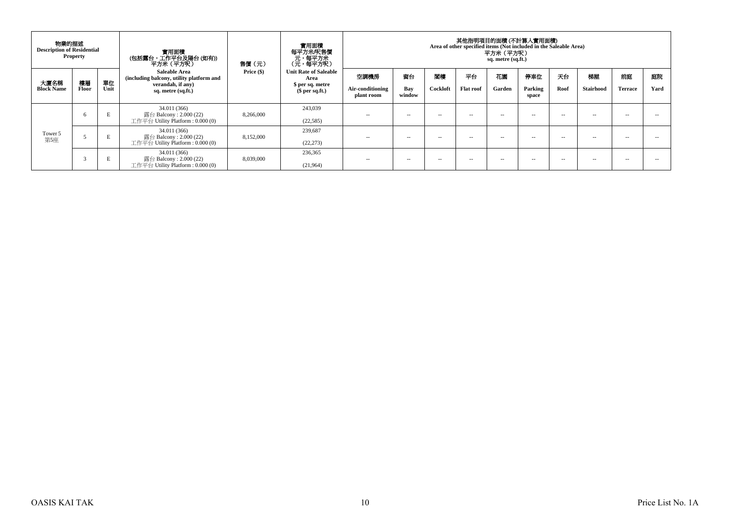| 物業的描述<br><b>Description of Residential</b> | <b>Property</b> |      | <b>實用面積</b><br>(包括露台,工作平台及陽台(如有))<br>平方米 (平方呎)                                | 售價(元)        | 實用面積<br>每平方米/呎售價<br>- 元<br>(元,每平方米)<br>(元,每平方呎) |                                |               |               |                  | 其他指明項目的面積(不計算入實用面積)<br>Area of other specified items (Not included in the Saleable Area)<br>平方米(平方呎)<br>sq. metre (sq.ft.) |                  |      |                  |                |      |
|--------------------------------------------|-----------------|------|-------------------------------------------------------------------------------|--------------|-------------------------------------------------|--------------------------------|---------------|---------------|------------------|----------------------------------------------------------------------------------------------------------------------------|------------------|------|------------------|----------------|------|
|                                            | 樓層              | 單位   | Saleable Area<br>(including balcony, utility platform and                     | Price $(\$)$ | <b>Unit Rate of Saleable</b><br>Area            | 空調機房                           | 窗台            | 閣樓            | 平台               | 花園                                                                                                                         | 停車位              | 天台   | 梯屋               | 前庭             | 庭院   |
| 大廈名稱<br><b>Block Name</b>                  | Floor           | Unit | verandah, if any)<br>sq. metre (sq.ft.)                                       |              | \$ per sq. metre<br>$$per sq.f.$ )              | Air-conditioning<br>plant room | Bay<br>window | Cockloft      | <b>Flat roof</b> | Garden                                                                                                                     | Parking<br>space | Roof | <b>Stairhood</b> | <b>Terrace</b> | Yard |
| Tower 5<br>第5座                             | 6               | E    | 34.011 (366)<br>露台 Balcony : 2.000 (22)<br>工作平台 Utility Platform : $0.000(0)$ | 8,266,000    | 243.039<br>(22, 585)                            | $\sim$                         | -             | $\sim$ $\sim$ | -                | $\sim$ $\sim$                                                                                                              | -                | $-$  | $- -$            | -              |      |
|                                            |                 | E    | 34.011 (366)<br>露台 Balcony : 2.000 (22)<br>工作平台 Utility Platform : $0.000(0)$ | 8,152,000    | 239.687<br>(22, 273)                            | $\sim$                         | $\sim$ $\sim$ | $\sim$ $\sim$ | -                | $\sim$ $\sim$                                                                                                              | -                | $-$  | $- -$            | -              |      |
|                                            | 3               | E    | 34.011 (366)<br>露台 Balcony : 2.000 (22)<br>工作平台 Utility Platform : $0.000(0)$ | 8,039,000    | 236,365<br>(21,964)                             | $\sim$                         | -             | $\sim$ $\sim$ | -                | $\sim$ $\sim$                                                                                                              | -                | $-$  | $- -$            | -              |      |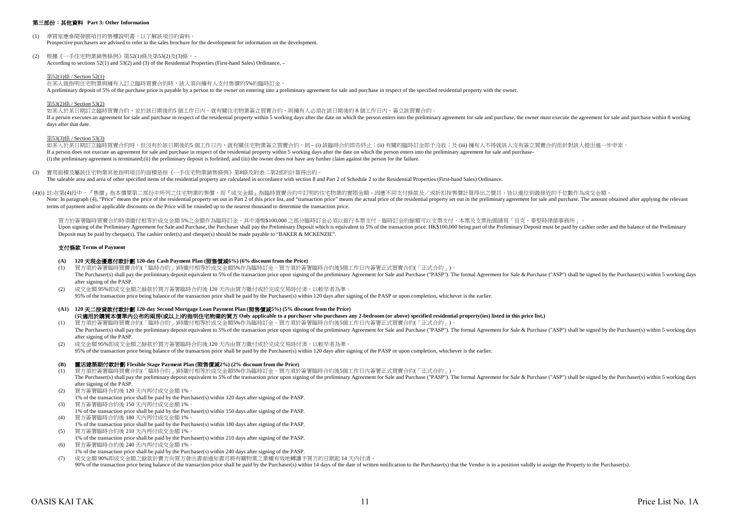## 第三部份:其他資料 **Part 3: Other Information**

- (1) 準買家應參閱發展項目的售樓說明書,以了解該項目的資料。 Prospective purchasers are advised to refer to the sales brochure for the development for information on the development.
- (2) 根據《一手住宅物業銷售條例》第52(1)條及第53(2)及(3)條, According to sections 52(1) and 53(2) and (3) of the Residential Properties (First-hand Sales) Ordinance, –

## 第52(1)條 / Section 52(1)

在某人就指明住宅物業與擁有人訂立臨時買賣合約時,該人須向擁有人支付售價的5%的臨時訂金。 A preliminary deposit of 5% of the purchase price is payable by a person to the owner on entering into a preliminary agreement for sale and purchase in respect of the specified residential property with the owner.

## 第53(2)條 / Section 53(2)

如某人於某日期訂立臨時買賣合約,並於該日期後的5 個工作日內,就有關住宅物業簽立買賣合約,則擁有人必須在該日期後的 8 個工作日内,簽立該買賣合約。 If a person executes an agreement for sale and purchase in respect of the residential property within 5 working days after the date on which the person enters into the preliminary agreement for sale and purchase, the owner days after that date.

## 第53(3)條 / Section 53(3)

如某人於某日期訂立臨時買賣合約時,但沒有於該日期後的5 個工作日内,就有關住宅物業簽立買賣合約,則 – (i) 該臨時合約即告終止;(ii) 有關的臨時訂金即予沒收;及 (iii) 擁有人不得就該人沒有签立買賣合約而針對該人提出進一步申索。 If a person does not execute an agreement for sale and purchase in respect of the residential property within 5 working days after the date on which the person enters into the preliminary agreement for sale and purchase- (i) the preliminary agreement is terminated;(ii) the preliminary deposit is forfeited; and (iii) the owner does not have any further claim against the person for the failure.

(3) 實用面積及屬該住宅物業其他指明項目的面積是按《一手住宅物業銷售條例》第8條及附表二第2部的計算得出的。 The saleable area and area of other specified items of the residential property are calculated in accordance with section 8 and Part 2 of Schedule 2 to the Residential Properties (First-hand Sales) Ordinance.

(4)(i) 註:在第(4)段中,『售價』指本價單第二部份中所列之住宅物業的售價,而『成交金額』指臨時買賣合約中訂明的住宅物業的實際金額。因應不同支付條款及/或折扣按售價計算得出之價目,皆以進位到最接近的千位數作為成交金額 Note: In paragraph (4), "Price" means the price of the residential property set out in Part 2 of this price list, and "transaction price" means the actual price of the residential property set out in Part 2 of this price l terms of payment and/or applicable discounts on the Price will be rounded up to the nearest thousand to determine the transaction price.

買方於簽署臨時買賣合約時須繳付相等於成交金額 5%之金額作為臨時訂金,其中港幣\$100,000 之部分臨時訂金必須以銀行本票支付,臨時訂金的餘額可以支票支付,本票及支票抬頭請寫「貝克.麥堅時律師事務所」。 Upon signing of the Preliminary Agreement for Sale and Purchase, the Purchaser shall pay the Preliminary Deposit which is equivalent to 5% of the transaction price. HK\$100,000 being part of the Preliminary Deposit must be Deposit may be paid by cheque(s). The cashier order(s) and cheque(s) should be made payable to "BAKER & MCKENZIE".

## 支付條款 **Terms of Payment**

## **(A) 120** 天現金優惠付款計劃 **120-day Cash Payment Plan (**照售價減**6%) (6% discount from the Price)**

- (1) 買方須於簽署臨時買賣合約(「臨時合約」)時繳付相等於成交金額5%作為臨時訂金。買方須於簽署臨時合約後5個工作日內簽署正式買賣合約(「正式合約」)。 The Purchaser(s) shall pay the preliminary deposit equivalent to 5% of the transaction price upon signing of the preliminary Agreement for Sale and Purchase ("PASP"). The formal Agreement for Sale & Purchase ("ASP") shall after signing of the PASP.
- (2) 成交金額 95%即成交金額之餘款於買方簽署臨時合約後 120 天內由買方繳付或於完成交易時付清,以較早者為準。 95% of the transaction price being balance of the transaction price shall be paid by the Purchaser(s) within 120 days after signing of the PASP or upon completion, whichever is the earlier.
- **(A1) 120** 天二按貸款付款計劃 **120-day Second Mortgage Loan Payment Plan (**照售價減**5%) (5% discount from the Price) (**只適用於購買本價單內公布的兩房**(**或以上**)**的指明住宅物業的買方 **Only applicable to a purchaser who purchases any 2-bedroom (or above) specified residential property(ies) listed in this price list.)**
- (1) 買方須於簽署臨時買賣合約(「臨時合約」)時繳付相等於成交金額5%作為臨時訂金。買方須於簽署臨時合約後5個工作日內簽署正式買賣合約(「正式合約」)。 The Purchaser(s) shall pay the preliminary deposit equivalent to 5% of the transaction price upon signing of the preliminary Agreement for Sale and Purchase ("PASP"). The formal Agreement for Sale & Purchase ("ASP") shall after signing of the PASP.
- 成交金額 95%即成交金額之餘款於買方簽署臨時合約後 120 天内由買方繳付或於完成交易時付清,以較早者為準。 95% of the transaction price being balance of the transaction price shall be paid by the Purchaser(s) within 120 days after signing of the PASP or upon completion, whichever is the earlier.

## **(B)** 靈活建築期付款計劃 **Flexible Stage Payment Plan (**照售價減**2%) (2% discount from the Price)**

- (1) 買方須於簽署臨時買賣合約(「臨時合約」)時繳付相等於成交金額5%作為臨時訂金。買方須於簽署臨時合約後5個工作日內簽署正式買賣合約(「正式合約」)。 The Purchaser(s) shall pay the preliminary deposit equivalent to 5% of the transaction price upon signing of the preliminary Agreement for Sale and Purchase ("PASP"). The formal Agreement for Sale & Purchase ("ASP") shall after signing of the PASP.
- (2) 買方簽署臨時合約後 120 天內再付成交金額 1%。
- 1% of the transaction price shall be paid by the Purchaser(s) within 120 days after signing of the PASP.
- (3) 買方簽署臨時合約後 150 天內再付成交金額 1%。
- 1% of the transaction price shall be paid by the Purchaser(s) within 150 days after signing of the PASP.
- (4) 買方簽署臨時合約後 180 天內再付成交金額 1%。 1% of the transaction price shall be paid by the Purchaser(s) within 180 days after signing of the PASP.
- (5) 買方簽署臨時合約後 210 天內再付成交金額 1%。 1% of the transaction price shall be paid by the Purchaser(s) within 210 days after signing of the PASP.
- (6) 買方簽署臨時合約後 240 天內再付成交金額 1%。 1% of the transaction price shall be paid by the Purchaser(s) within 240 days after signing of the PASP.
- (7) 成交金額 90%即成交金額之餘款於賣方向買方發出書面通知書可將有關物業之業權有效地轉讓予買方的日期起 14 天內付清。 90% of the transaction price help balance of the transaction price shall be paid by the Purchaser(s) within 14 days of the date of written notification to the Purchaser(s) that the Vendor is in a position validly to assign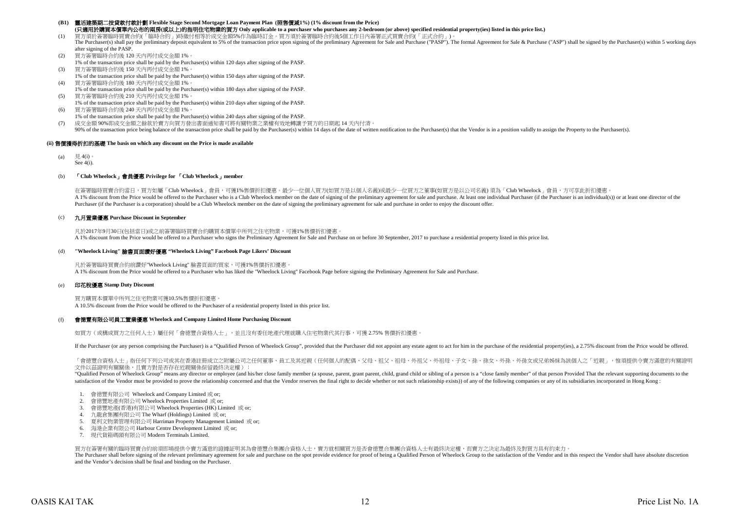## **(B1)** 靈活建築期二按貸款付款計劃 **Flexible Stage Second Mortgage Loan Payment Plan (**照售價減**1%) (1% discount from the Price) (**只適用於購買本價單內公布的兩房**(**或以上**)**的指明住宅物業的買方 **Only applicable to a purchaser who purchases any 2-bedroom (or above) specified residential property(ies) listed in this price list.)**

(1) 買方須於簽署臨時買賣合約(「臨時合約」)時繳付相等於成交金額5%作為臨時訂金。買方須於簽署臨時合約後5個工作日內簽署正式買賣合約(「正式合約」)。

- The Purchaser(s) shall pay the preliminary deposit equivalent to 5% of the transaction price upon signing of the preliminary Agreement for Sale and Purchase ("PASP"). The formal Agreement for Sale & Purchase ("ASP") shall after signing of the PASP
- (2) 買方簽署臨時合約後 120 天內再付成交金額 1%。 1% of the transaction price shall be paid by the Purchaser(s) within 120 days after signing of the PASP.
- (3) 買方簽署臨時合約後 150 天內再付成交金額 1%。
- 1% of the transaction price shall be paid by the Purchaser(s) within 150 days after signing of the PASP. (4) 買方簽署臨時合約後 180 天內再付成交金額 1%。
- 1% of the transaction price shall be paid by the Purchaser(s) within 180 days after signing of the PASP. (5) 買方簽署臨時合約後 210 天內再付成交金額 1%。
- 1% of the transaction price shall be paid by the Purchaser(s) within 210 days after signing of the PASP.
- (6) 買方簽署臨時合約後 240 天內再付成交金額 1%。 1% of the transaction price shall be paid by the Purchaser(s) within 240 days after signing of the PASP.
- (7) 成交金額 90%即成交金額之餘款於賣方向買方發出書面通知書可將有關物業之業權有效地轉讓予買方的日期起 14 天內付清。

90% of the transaction price being balance of the transaction price shall be paid by the Purchaser(s) within 14 days of the date of written notification to the Purchaser(s) hat the Vendor is in a position validly to assign

## **(ii)** 售價獲得折扣的基礎 **The basis on which any discount on the Price is made available**

(a) 見 4(i)。 See 4(i).

## (b) 「**Club Wheelock**」會員優惠 **Privilege for** 「**Club Wheelock**」**member**

A 1% discount from the Price would be offered to the Purchaser who is a Club Wheelock member on the date of signing of the preliminary agreement for sale and purchase. At least one individual Purchaser (if the Purchaser is Purchaser (if the Purchaser is a corporation) should be a Club Wheelock member on the date of signing the preliminary agreement for sale and purchase in order to enjoy the discount offer. 在簽署臨時買賣合約當日,買方如屬「Club Wheelock」會員,可獲1%售價折扣優惠。最少一位個人買方(如買方是以個人名義)或最少一位買方之董事(如買方是以公司名義)須為「Club Wheelock」會員,方可享此折扣優惠。

## (c) 九月置業優惠 **Purchase Discount in September**

凡於2017年9月30日(包括當日)或之前簽署臨時買賣合約購買本價單中所列之住宅物業,可獲1%售價折扣優惠。 A 1% discount from the Price would be offered to a Purchaser who signs the Preliminary Agreement for Sale and Purchase on or before 30 September, 2017 to purchase a residential property listed in this price list.

## (d) **"Wheelock Living"** 臉書頁面讚好優惠 **"Wheelock Living" Facebook Page Likers' Discount**

凡於簽署臨時買賣合約前讚好"Wheelock Living" 臉書頁面的買家,可獲1%售價折扣優惠。 A 1% discount from the Price would be offered to a Purchaser who has liked the "Wheelock Living" Facebook Page before signing the Preliminary Agreement for Sale and Purchase.

## (e) 印花稅優惠 **Stamp Duty Discount**

買方購買本價單中所列之住宅物業可獲10.5%售價折扣優惠。 A 10.5% discount from the Price would be offered to the Purchaser of a residential property listed in this price list.

#### $(f)$ 會德豐有限公司員工置業優惠 **Wheelock and Company Limited Home Purchasing Discount**

如買方(或構成買方之任何人士)屬任何「會德豐合資格人士」,並且沒有委任地產代理就購入住宅物業代其行事,可獲 2.75% 售價折扣優惠。

If the Purchaser (or any person comprising the Purchaser) is a "Qualified Person of Wheelock Group", provided that the Purchaser did not appoint any estate agent to act for him in the purchase of the residential property(i

「會德豐合資格人士」指任何下列公司或其在香港註冊成立之附屬公司之任何董事、員工及其近親(任何個人的配偶、父母、祖父、不得、小相母、今初祖父、外孫、外孫、外孫、外孫女或兄弟姊妹為該個人之「近親」,惟須提供令賣方滿意的有關證明 文件以茲證明有關關係,且賣方對是否存在近親關係保留最終決定權):

"Oualified Person of Wheelock Group" means any director or employee (and his/her close family member (a spouse, parent, grant parent, child, grand child or sibling of a person is a "close family member" of that person Prov satisfaction of the Vendor must be provided to prove the relationship concerned and that the Vendor reserves the final right to decide whether or not such relationship exists)) of any of the following companies or any of i

- 1. 會德豐有限公司 Wheelock and Company Limited 或 or;
- 2. 會德豐地產有限公司 Wheelock Properties Limited 或 or;
- 3. 會德豐地產(香港)有限公司 Wheelock Properties (HK) Limited 或 or;
- 4. 九龍倉集團有限公司 The Wharf (Holdings) Limited 或 or;
- 5. 夏利文物業管理有限公司 Harriman Property Management Limited 或 or;
- 6. 海港企業有限公司 Harbour Centre Development Limited 或 or;
- 7. 現代貨箱碼頭有限公司 Modern Terminals Limited.

買方在簽署有關的臨時買賣合約前須即場提供令賣方滿意的證據証明其為會德豐合集團合資格人士,賣方就相關買方是否會德豐合集團合資格人士有最終決定權,而賣方之決定為最終及對買方具有約束力。

The Purchaser shall before signing of the relevant preliminary agreement for sale and purchase on the spot provide evidence for proof of being a Qualified Person of Wheelock Group to the satisfaction of the Vendor and in t and the Vendor's decision shall be final and binding on the Purchaser.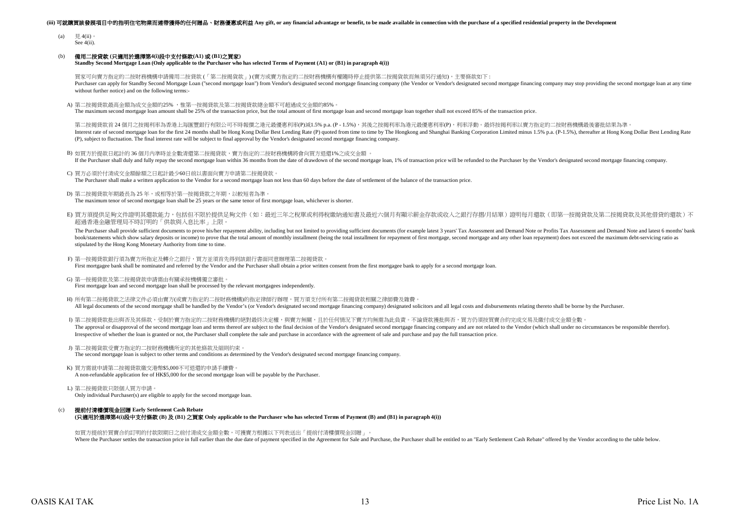### (iii) 可就購買該發展項目中的指明住宅物業而連帶獲得的任何贈品、財務優惠或利益 Any gift, or any financial advantage or benefit, to be made available in connection with the purchase of a specified residential property in the Development

- (a) 見 4(ii)。 See 4(ii).
- (b) 備用二按貸款 **(**只適用於選擇第**4(i)**段中支付條款**(A1)** 或 **(B1)**之買家**)**

**Standby Second Mortgage Loan (Only applicable to the Purchaser who has selected Terms of Payment (A1) or (B1) in paragraph 4(i))**

買家可向賣方指定的二按財務機構申請備用二按貸款 (「第二按揭貨款」) (賣方或賣方指定的二按財務機構有權隨時停止提供第二按揭貨款而無須另行通知),主要條款如下 : Purchaser can apply for Standby Second Mortgage Loan ("second mortgage loan") from Vendor's designated second mortgage financing company (the Vendor or Vendor's designated second mortgage financing company may stop providi without further notice) and on the following terms:-

A) 第二按揭貸款最高金額為成交金額的25% ,惟第一按揭貸款及第二按揭貸款總金額不可超過成交金額的85%。

The maximum second mortgage loan amount shall be 25% of the transaction price, but the total amount of first mortgage loan and second mortgage loan together shall not exceed 85% of the transaction price.

Interest rate of second mortgage loan for the first 24 months shall be Hong Kong Dollar Best Lending Rate (P) quoted from time to time by The Hongkong and Shanghai Banking Corporation Limited minus 1.5% p.a. (P-1.5%), ther (P), subject to fluctuation. The final interest rate will be subject to final approval by the Vendor's designated second mortgage financing company. 第二按揭管款首 24 個月之按揭利率為香港上海匯豐銀行有限公司不時報價之港元最優惠利率(P)減1.5% p.a. (P - 1.5%),其後之按揭利率為港元最優惠利率(P),利率浮動。最終按揭利率以賣方指定的二按財務機構最後審批結果為連

- B) 如買方於提款日起計的 36 個月內準時並全數清還第二按揭貸款,賣方指定的二按財務機構將會向買方退還1%之成交金額 。 If the Purchaser shall duly and fully repay the second mortgage loan within 36 months from the date of drawdown of the second mortgage loan. 1% of transaction price will be refunded to the Purchaser by the Vendor's designa
- C) 買方必須於付清成交金額餘額之日起計最少60日前以書面向賣方申請第二按揭貸款。
- The Purchaser shall make a written application to the Vendor for a second mortgage loan not less than 60 days before the date of settlement of the balance of the transaction price.
- D) 第二按揭貸款年期最長為 25 年,或相等於第一按揭貸款之年期,以較短者為準。 The maximum tenor of second mortgage loan shall be 25 years or the same tenor of first mortgage loan, whichever is shorter.
- E) 買方須提供足夠文件證明其還款能力,包括但不限於提供足夠文件(如:最近三年之稅單或利得稅繳納通知書及最近六個月有顯示薪金存款或收入之銀行存摺/月結單)證明每月還款(即第一按揭貸款及第二按揭貸款及其他借貸的還款)不 超過香港金融管理局不時訂明的「供款與入息比率」上限。

The Purchaser shall provide sufficient documents to prove his/her repayment ability, including but not limited to providing sufficient documents (for example latest 3 years' Tax Assessment and Demand Note or Profits Tax As book/statements which show salary deposits or income) to prove that the total amount of monthly installment (being the total installment for repayment of first mortgage, second mortgage and any other loan repayment) does n stipulated by the Hong Kong Monetary Authority from time to time.

- F) 第一按揭貸款銀行須為賣方所指定及轉介之銀行,買方並須首先得到該銀行書面同意辦理第二按揭貸款。 First mortgagee bank shall be nominated and referred by the Vendor and the Purchaser shall obtain a prior written consent from the first mortgagee bank to apply for a second mortgage loan.
- G) 第一按揭貸款及第二按揭貸款申請需由有關承按機構獨立審批。 First mortgage loan and second mortgage loan shall be processed by the relevant mortgagees independently.
- H) 所有第二按揭貸款之法律文件必須由賣方(或賣方指定的二按財務機構)的指定律師行辦理,買方須支付所有第二按揭貸款相關之律師費及雜費。 All legal documents of the second mortgage shall be handled by the Vendor's (or Vendor's assignated second mortgage financing company) designated solicitors and all legal costs and disbursements relating thereto shall be b
- I) 第二按揭貸款批出與否及其條款,受制於賣方指定的二按財務機構的絕對最終決定權,與賣方無關,且於任何情況下賣方均無需為此負責。不論貸款獲批與否,買方仍須按買賣合約完成交易及繳付成交金額全數。 The approval or disapproval of the second mortgage loan and terms thereof are subject to the final decision of the Vendor's designated second mortgage financing company and are not related to the Vendor (which shall under Irrespective of whether the loan is granted or not, the Purchaser shall complete the sale and purchase in accordance with the agreement of sale and purchase and pay the full transaction price.
- J) 第二按揭貨款受賣方指定的二按財務機構所定的其他條款及細則約束 The second mortgage loan is subject to other terms and conditions as determined by the Vendor's designated second mortgage financing company.
- K) 買方需就申請第二按揭貸款繳交港幣\$5,000不可退還的申請手續費。 A non-refundable application fee of HK\$5,000 for the second mortgage loan will be payable by the Purchaser.
- L) 第二按揭貸款只限個人買方申請 Only individual Purchaser(s) are eligible to apply for the second mortgage loan.
- (c) 提前付清樓價現金回贈 **Early Settlement Cash Rebate (**只適用於選擇第**4(i)**段中支付條款 **(B)** 及 **(B1)** 之買家 **Only applicable to the Purchaser who has selected Terms of Payment (B) and (B1) in paragraph 4(i))**

如買方提前於買賣合約訂明的付款限期日之前付清成交金額全數,可獲賣方根據以下列表送出「提前付清樓價現金回贈」。 Where the Purchaser settles the transaction price in full earlier than the due date of payment specified in the Agreement for Sale and Purchase, the Purchaser shall be entitled to an "Early Settlement Cash Rebate" offered